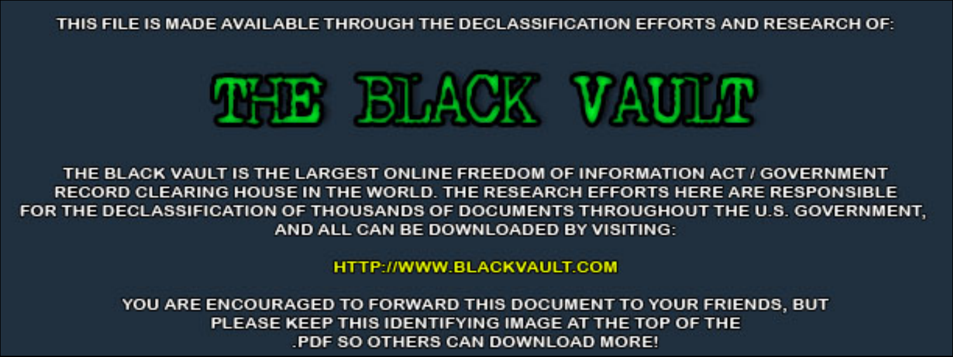THIS FILE IS MADE AVAILABLE THROUGH THE DECLASSIFICATION EFFORTS AND RESEARCH OF:



THE BLACK VAULT IS THE LARGEST ONLINE FREEDOM OF INFORMATION ACT / GOVERNMENT RECORD CLEARING HOUSE IN THE WORLD. THE RESEARCH EFFORTS HERE ARE RESPONSIBLE FOR THE DECLASSIFICATION OF THOUSANDS OF DOCUMENTS THROUGHOUT THE U.S. GOVERNMENT, AND ALL CAN BE DOWNLOADED BY VISITING:

**HTTP://WWW.BLACKVAULT.COM** 

YOU ARE ENCOURAGED TO FORWARD THIS DOCUMENT TO YOUR FRIENDS, BUT PLEASE KEEP THIS IDENTIFYING IMAGE AT THE TOP OF THE PDF SO OTHERS CAN DOWNLOAD MORE!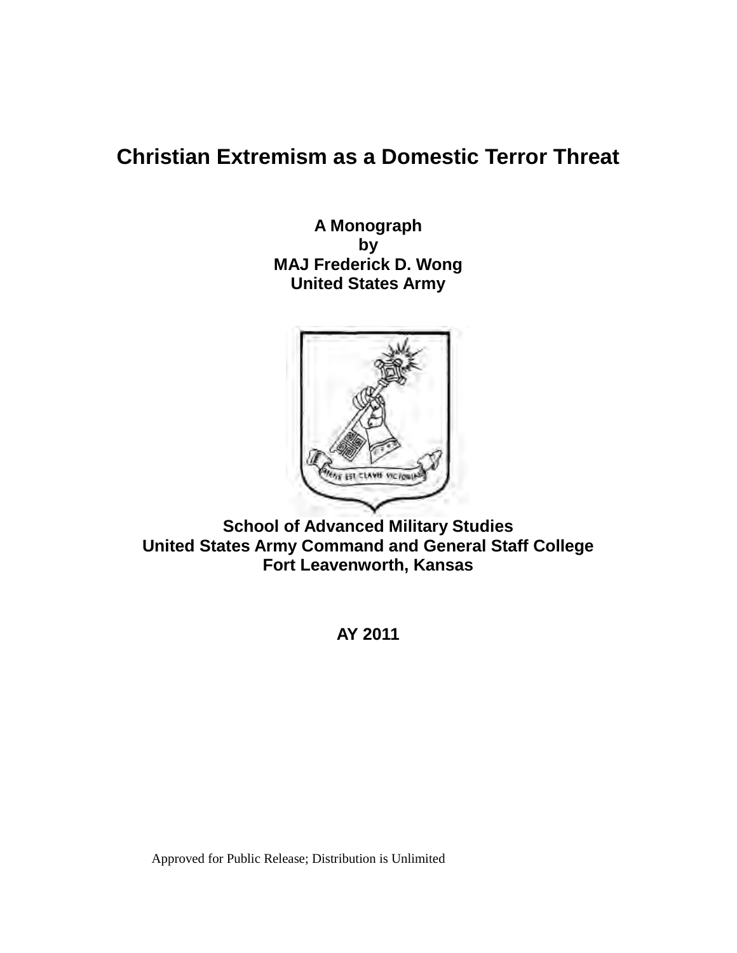# **Christian Extremism as a Domestic Terror Threat**

 **United States Army A Monograph by MAJ Frederick D. Wong**



 **United States Army Command and General Staff College School of Advanced Military Studies Fort Leavenworth, Kansas**

**AY 2011**

Approved for Public Release; Distribution is Unlimited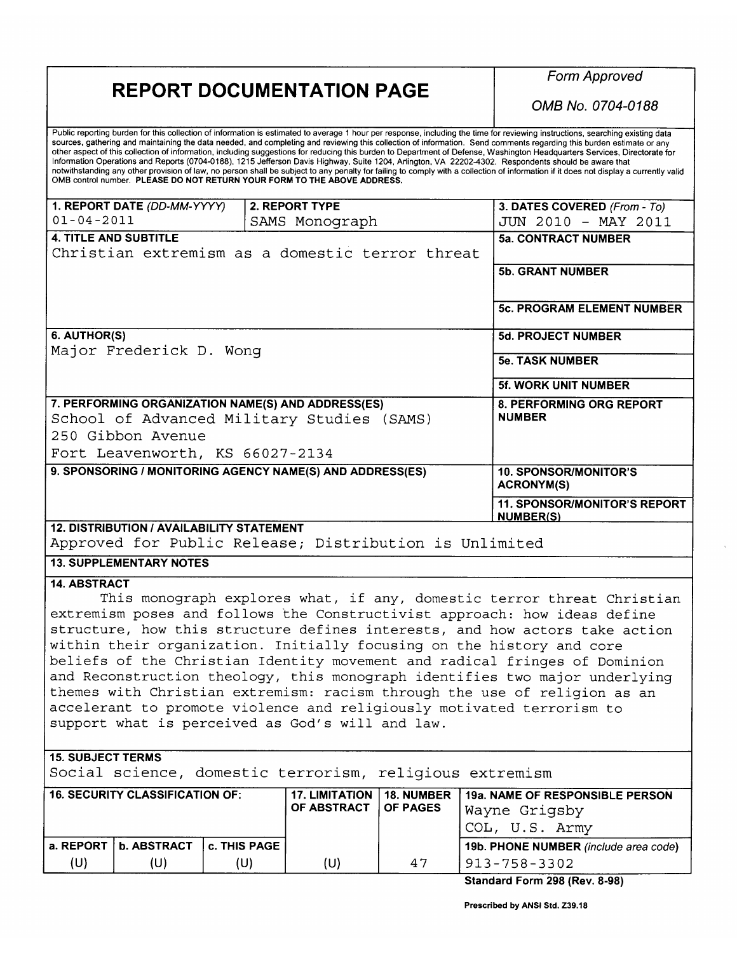## **REPORT DOCUMENTATION PAGE**

 $(U)$ 

 $(U)$ 

 $(U)$ 

 $(U)$ 

47

**Form Approved** 

OMB No. 0704-0188

Public reporting burden for this collection of information is estimated to average 1 hour per response, including the time for reviewing instructions, searching existing data sources, gathering and maintaining the data needed, and completing and reviewing this collection of information. Send comments regarding this burden estimate or any other aspect of this collection of information, including suggestions for reducing this burden to Department of Defense, Washington Headquarters Services, Directorate for Information Operations and Reports (0704-0188), 1215 Jefferson Davis Highway, Suite 1204, Anington, VA 22202-4302. Respondents should be aware that notwithstanding any other provision of law, no person shall be subject to any penalty for failing to comply with a collection of information if it does not display a currently valid<br>OMB control number. PLEASE DO NOT RETURN

| 1. REPORT DATE (DD-MM-YYYY)                                                                      | 2. REPORT TYPE        |                   | 3. DATES COVERED (From - To)                            |  |
|--------------------------------------------------------------------------------------------------|-----------------------|-------------------|---------------------------------------------------------|--|
| $01 - 04 - 2011$                                                                                 | SAMS Monograph        |                   | JUN 2010 - MAY 2011                                     |  |
| <b>4. TITLE AND SUBTITLE</b>                                                                     |                       |                   | <b>5a. CONTRACT NUMBER</b>                              |  |
| Christian extremism as a domestic terror threat                                                  |                       |                   |                                                         |  |
|                                                                                                  |                       |                   | <b>5b. GRANT NUMBER</b>                                 |  |
|                                                                                                  |                       |                   |                                                         |  |
|                                                                                                  |                       |                   | <b>5c. PROGRAM ELEMENT NUMBER</b>                       |  |
|                                                                                                  |                       |                   |                                                         |  |
| 6. AUTHOR(S)                                                                                     |                       |                   | <b>5d. PROJECT NUMBER</b>                               |  |
| Major Frederick D. Wonq                                                                          |                       |                   |                                                         |  |
|                                                                                                  |                       |                   | <b>5e. TASK NUMBER</b>                                  |  |
|                                                                                                  |                       |                   | <b>5f. WORK UNIT NUMBER</b>                             |  |
|                                                                                                  |                       |                   | 8. PERFORMING ORG REPORT                                |  |
| 7. PERFORMING ORGANIZATION NAME(S) AND ADDRESS(ES)<br>School of Advanced Military Studies (SAMS) |                       |                   | <b>NUMBER</b>                                           |  |
| 250 Gibbon Avenue                                                                                |                       |                   |                                                         |  |
|                                                                                                  |                       |                   |                                                         |  |
| Fort Leavenworth, KS 66027-2134                                                                  |                       |                   |                                                         |  |
| 9. SPONSORING / MONITORING AGENCY NAME(S) AND ADDRESS(ES)                                        |                       |                   | <b>10. SPONSOR/MONITOR'S</b>                            |  |
|                                                                                                  |                       |                   | <b>ACRONYM(S)</b>                                       |  |
|                                                                                                  |                       |                   | <b>11. SPONSOR/MONITOR'S REPORT</b><br><b>NUMBER(S)</b> |  |
| <b>12. DISTRIBUTION / AVAILABILITY STATEMENT</b>                                                 |                       |                   |                                                         |  |
| Approved for Public Release; Distribution is Unlimited                                           |                       |                   |                                                         |  |
| <b>13. SUPPLEMENTARY NOTES</b>                                                                   |                       |                   |                                                         |  |
| <b>14. ABSTRACT</b>                                                                              |                       |                   |                                                         |  |
| This monograph explores what, if any, domestic terror threat Christian                           |                       |                   |                                                         |  |
| extremism poses and follows the Constructivist approach: how ideas define                        |                       |                   |                                                         |  |
| structure, how this structure defines interests, and how actors take action                      |                       |                   |                                                         |  |
| within their organization. Initially focusing on the history and core                            |                       |                   |                                                         |  |
| beliefs of the Christian Identity movement and radical fringes of Dominion                       |                       |                   |                                                         |  |
| and Reconstruction theology, this monograph identifies two major underlying                      |                       |                   |                                                         |  |
| themes with Christian extremism: racism through the use of religion as an                        |                       |                   |                                                         |  |
|                                                                                                  |                       |                   |                                                         |  |
| accelerant to promote violence and religiously motivated terrorism to                            |                       |                   |                                                         |  |
| support what is perceived as God's will and law.                                                 |                       |                   |                                                         |  |
|                                                                                                  |                       |                   |                                                         |  |
| <b>15. SUBJECT TERMS</b>                                                                         |                       |                   |                                                         |  |
| Social science, domestic terrorism, religious extremism                                          |                       |                   |                                                         |  |
| <b>16. SECURITY CLASSIFICATION OF:</b>                                                           | <b>17. LIMITATION</b> | <b>18. NUMBER</b> | <b>19a. NAME OF RESPONSIBLE PERSON</b>                  |  |
|                                                                                                  | OF ABSTRACT           | <b>OF PAGES</b>   | Wayne Grigsby                                           |  |
|                                                                                                  |                       |                   |                                                         |  |
|                                                                                                  |                       |                   | COL, U.S. Army                                          |  |

Standard Form 298 (Rev. 8-98)

 $913 - 758 - 3302$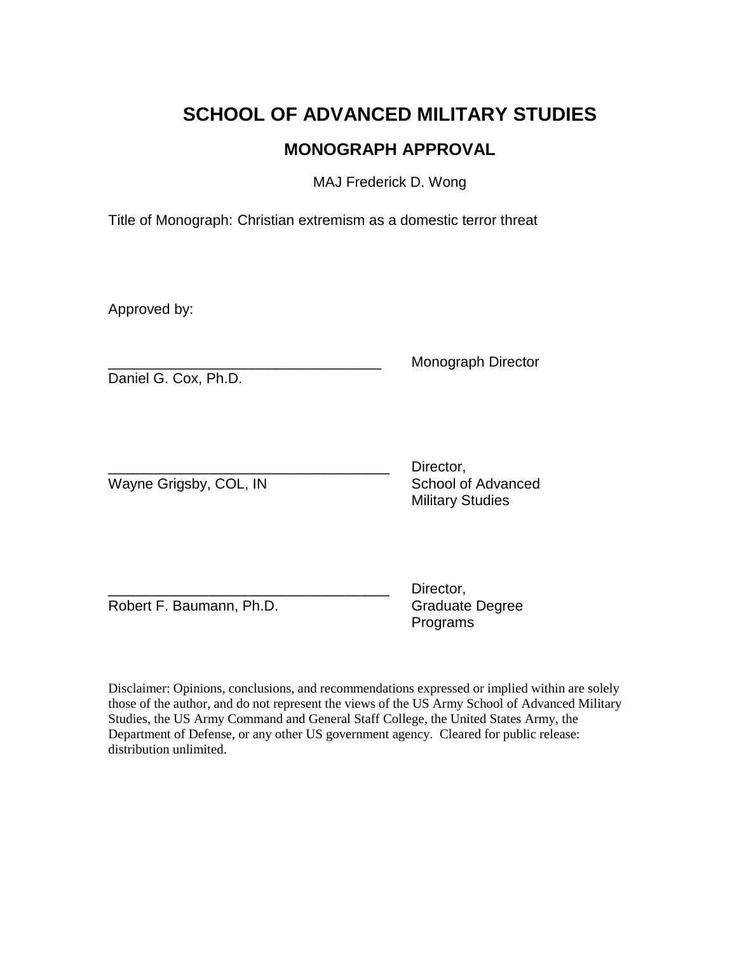# **SCHOOL OF ADVANCED MILITARY STUDIES MONOGRAPH APPROVAL**

MAJ Frederick D. Wong

Title of Monograph: Christian extremism as a domestic terror threat

Approved by:

Daniel G. Cox, Ph.D.

\_\_\_\_\_\_\_\_\_\_\_\_\_\_\_\_\_\_\_\_\_\_\_\_\_\_\_\_\_\_\_\_\_\_ Monograph Director

Wayne Grigsby, COL, IN School of Advanced

Director, Military Studies

Robert F. Baumann, Ph.D. Graduate Degree

Director, Programs

 those of the author, and do not represent the views of the US Army School of Advanced Military Disclaimer: Opinions, conclusions, and recommendations expressed or implied within are solely Studies, the US Army Command and General Staff College, the United States Army, the Department of Defense, or any other US government agency. Cleared for public release: distribution unlimited.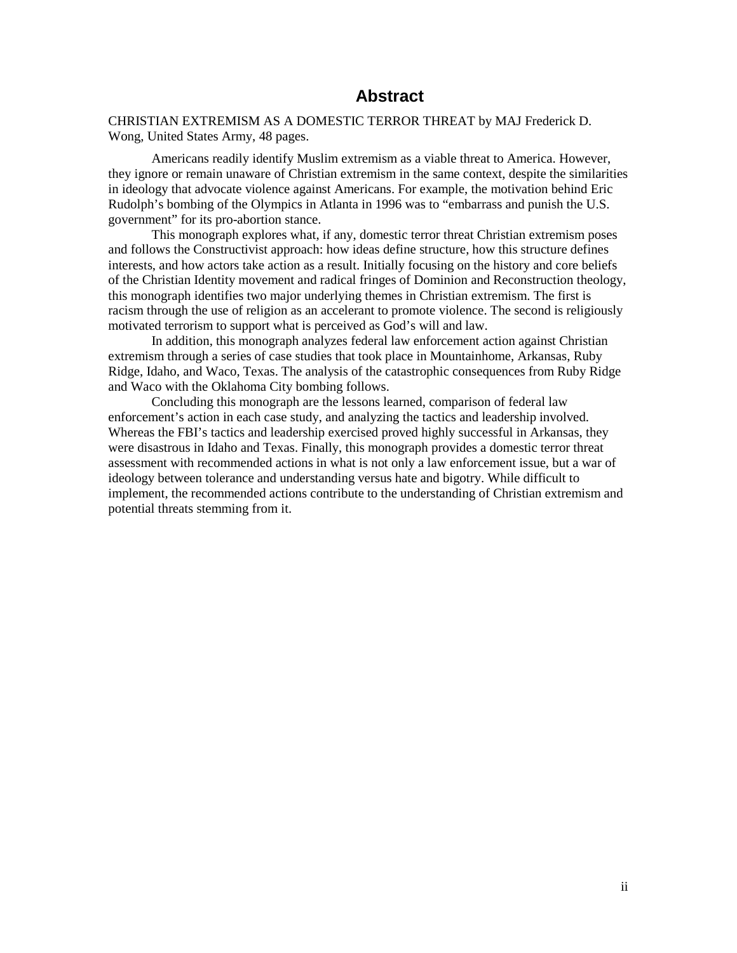### **Abstract**

CHRISTIAN EXTREMISM AS A DOMESTIC TERROR THREAT by MAJ Frederick D. Wong, United States Army, 48 pages.

Americans readily identify Muslim extremism as a viable threat to America. However, they ignore or remain unaware of Christian extremism in the same context, despite the similarities in ideology that advocate violence against Americans. For example, the motivation behind Eric Rudolph's bombing of the Olympics in Atlanta in 1996 was to "embarrass and punish the U.S. government" for its pro-abortion stance.

 This monograph explores what, if any, domestic terror threat Christian extremism poses and follows the Constructivist approach: how ideas define structure, how this structure defines racism through the use of religion as an accelerant to promote violence. The second is religiously interests, and how actors take action as a result. Initially focusing on the history and core beliefs of the Christian Identity movement and radical fringes of Dominion and Reconstruction theology, this monograph identifies two major underlying themes in Christian extremism. The first is motivated terrorism to support what is perceived as God's will and law.

 extremism through a series of case studies that took place in Mountainhome, Arkansas, Ruby Ridge, Idaho, and Waco, Texas. The analysis of the catastrophic consequences from Ruby Ridge and Waco with the Oklahoma City bombing follows. In addition, this monograph analyzes federal law enforcement action against Christian

 and Waco with the Oklahoma City bombing follows. Concluding this monograph are the lessons learned, comparison of federal law were disastrous in Idaho and Texas. Finally, this monograph provides a domestic terror threat ideology between tolerance and understanding versus hate and bigotry. While difficult to enforcement's action in each case study, and analyzing the tactics and leadership involved. Whereas the FBI's tactics and leadership exercised proved highly successful in Arkansas, they assessment with recommended actions in what is not only a law enforcement issue, but a war of implement, the recommended actions contribute to the understanding of Christian extremism and potential threats stemming from it.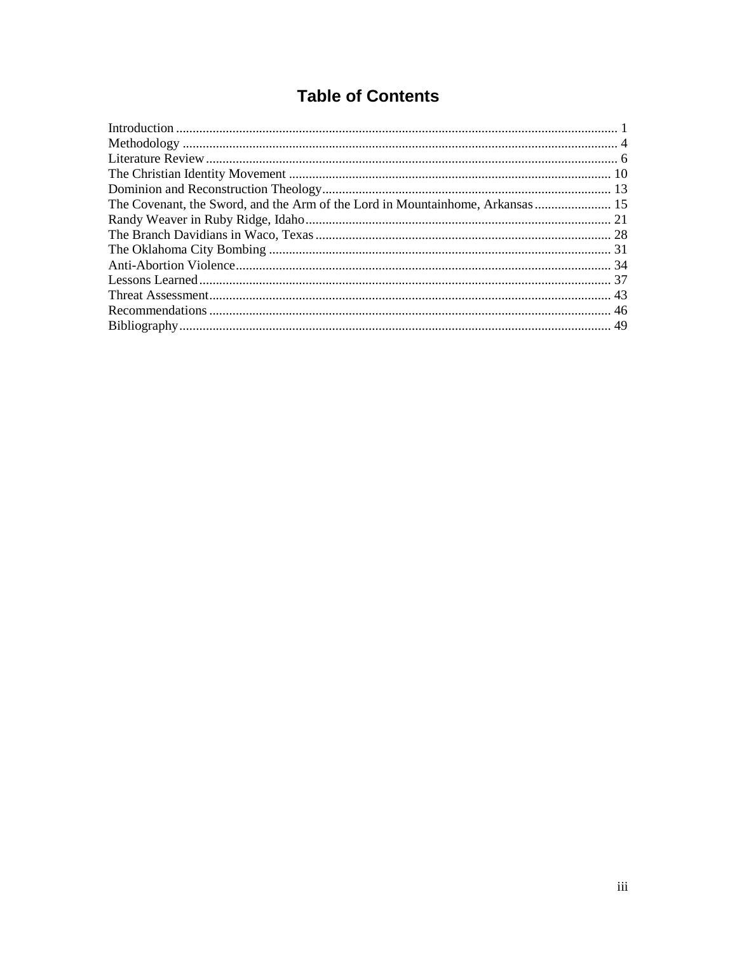## **Table of Contents**

| The Covenant, the Sword, and the Arm of the Lord in Mountainhome, Arkansas 15 |  |
|-------------------------------------------------------------------------------|--|
|                                                                               |  |
|                                                                               |  |
|                                                                               |  |
|                                                                               |  |
|                                                                               |  |
|                                                                               |  |
|                                                                               |  |
|                                                                               |  |
|                                                                               |  |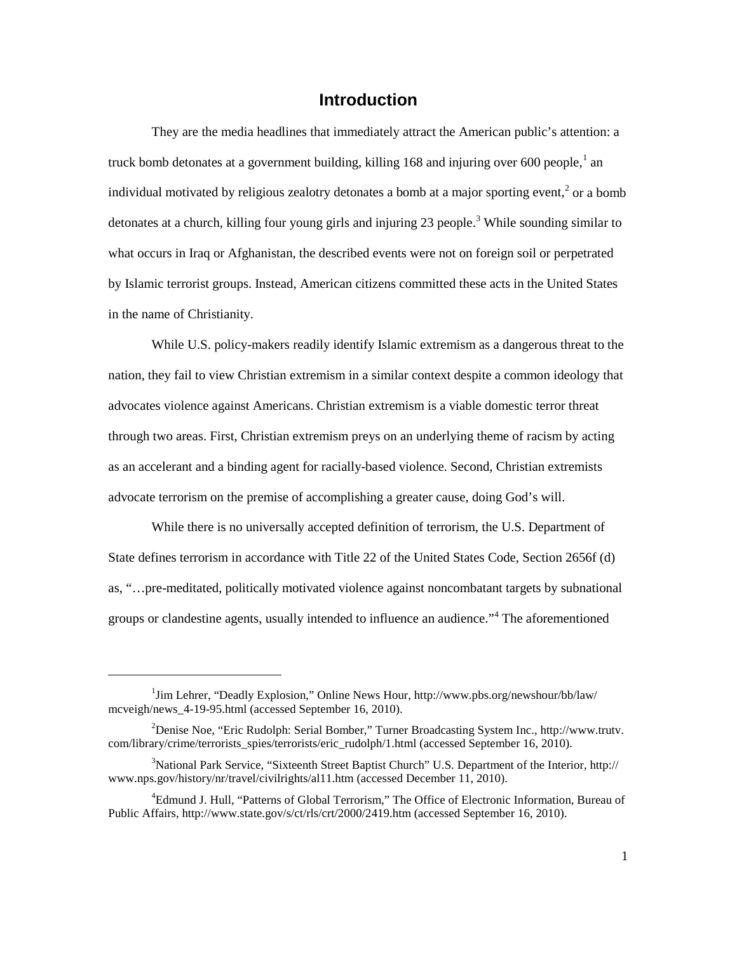### **Introduction**

<span id="page-6-0"></span>detonates at a church, killing four young girls and injuring 2[3](#page-6-3) people.<sup>3</sup> While sounding similar to by Islamic terrorist groups. Instead, American citizens committed these acts in the United States They are the media headlines that immediately attract the American public's attention: a truck bomb detonates at a government building, killing 168 and injuring over 600 people,  $\frac{1}{2}$  an individual motivated by religious zealotry detonates a bomb at a major sporting event, $<sup>2</sup>$  $<sup>2</sup>$  $<sup>2</sup>$  or a bomb</sup> what occurs in Iraq or Afghanistan, the described events were not on foreign soil or perpetrated in the name of Christianity.

 advocates violence against Americans. Christian extremism is a viable domestic terror threat through two areas. First, Christian extremism preys on an underlying theme of racism by acting While U.S. policy-makers readily identify Islamic extremism as a dangerous threat to the nation, they fail to view Christian extremism in a similar context despite a common ideology that as an accelerant and a binding agent for racially-based violence. Second, Christian extremists advocate terrorism on the premise of accomplishing a greater cause, doing God's will.

 State defines terrorism in accordance with Title 22 of the United States Code, Section 2656f (d) While there is no universally accepted definition of terrorism, the U.S. Department of as, "…pre-meditated, politically motivated violence against noncombatant targets by subnational groups or clandestine agents, usually intended to influence an audience."<sup>[4](#page-6-4)</sup> The aforementioned

<span id="page-6-1"></span><sup>&</sup>lt;sup>1</sup>Jim Lehrer, "Deadly Explosion," Online News Hour, http://www.pbs.org/newshour/bb/law/ mcveigh/news 4-19-95.html (accessed September 16, 2010).

<span id="page-6-2"></span><sup>&</sup>lt;sup>2</sup> Denise Noe, "Eric Rudolph: Serial Bomber," Turner Broadcasting System Inc., http://www.trutv. com/library/crime/terrorists\_spies/terrorists/eric\_rudolph/1.html (accessed September 16, 2010).

<span id="page-6-3"></span><sup>&</sup>lt;sup>3</sup>National Park Service, "Sixteenth Street Baptist Church" U.S. Department of the Interior, http:// www.nps.gov/history/nr/travel/civilrights/al11.htm (accessed December 11, 2010).

<span id="page-6-4"></span><sup>4</sup> Edmund J. Hull, "Patterns of Global Terrorism," The Office of Electronic Information, Bureau of Public Affairs, http://www.state.gov/s/ct/rls/crt/2000/2419.htm (accessed September 16, 2010).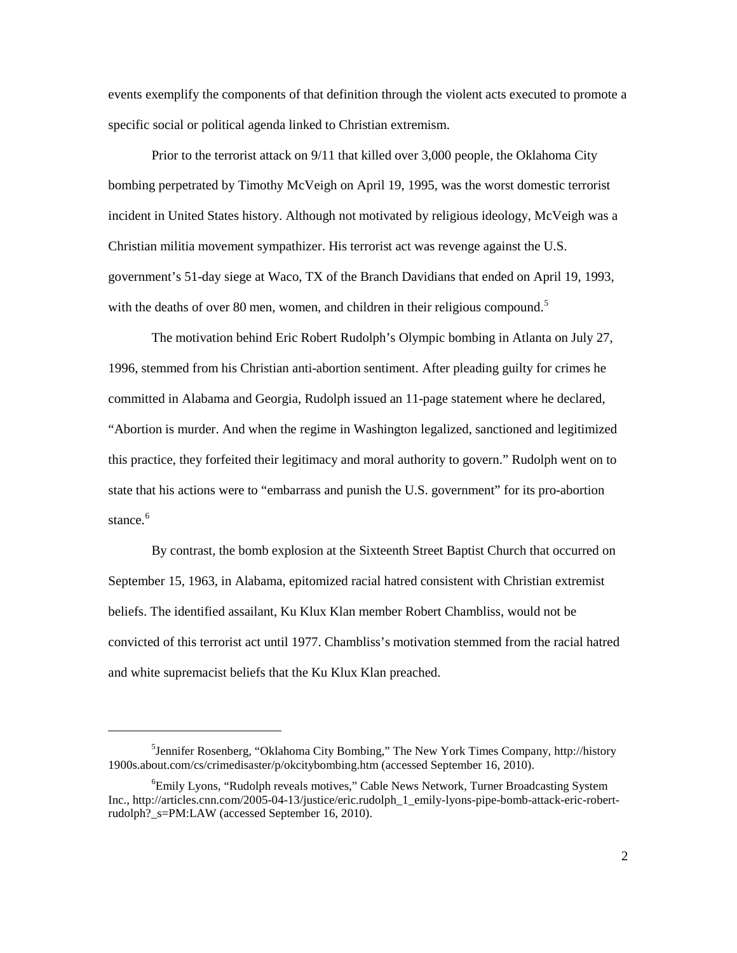events exemplify the components of that definition through the violent acts executed to promote a specific social or political agenda linked to Christian extremism.

 Prior to the terrorist attack on 9/11 that killed over 3,000 people, the Oklahoma City bombing perpetrated by Timothy McVeigh on April 19, 1995, was the worst domestic terrorist incident in United States history. Although not motivated by religious ideology, McVeigh was a Christian militia movement sympathizer. His terrorist act was revenge against the U.S. government's 51-day siege at Waco, TX of the Branch Davidians that ended on April 19, 1993, with the deaths of over 80 men, women, and children in their religious compound. $5$ 

stance.<sup>[6](#page-7-1)</sup> The motivation behind Eric Robert Rudolph's Olympic bombing in Atlanta on July 27, 1996, stemmed from his Christian anti-abortion sentiment. After pleading guilty for crimes he committed in Alabama and Georgia, Rudolph issued an 11-page statement where he declared, "Abortion is murder. And when the regime in Washington legalized, sanctioned and legitimized this practice, they forfeited their legitimacy and moral authority to govern." Rudolph went on to state that his actions were to "embarrass and punish the U.S. government" for its pro-abortion

 convicted of this terrorist act until 1977. Chambliss's motivation stemmed from the racial hatred and white supremacist beliefs that the Ku Klux Klan preached. By contrast, the bomb explosion at the Sixteenth Street Baptist Church that occurred on September 15, 1963, in Alabama, epitomized racial hatred consistent with Christian extremist beliefs. The identified assailant, Ku Klux Klan member Robert Chambliss, would not be

<span id="page-7-0"></span> 5 Jennifer Rosenberg, "Oklahoma City Bombing," The New York Times Company, http://history 1900s.about.com/cs/crimedisaster/p/okcitybombing.htm (accessed September 16, 2010).<br><sup>6</sup>Emily Lyons, "Pudolph rayoals motives." Cable News Natwork, Turner Broads

<span id="page-7-1"></span> rudolph?\_s=PM:LAW (accessed September 16, 2010). <sup>6</sup>Emily Lyons, "Rudolph reveals motives," Cable News Network, Turner Broadcasting System Inc., http://articles.cnn.com/2005-04-13/justice/eric.rudolph\_1\_emily-lyons-pipe-bomb-attack-eric-robert-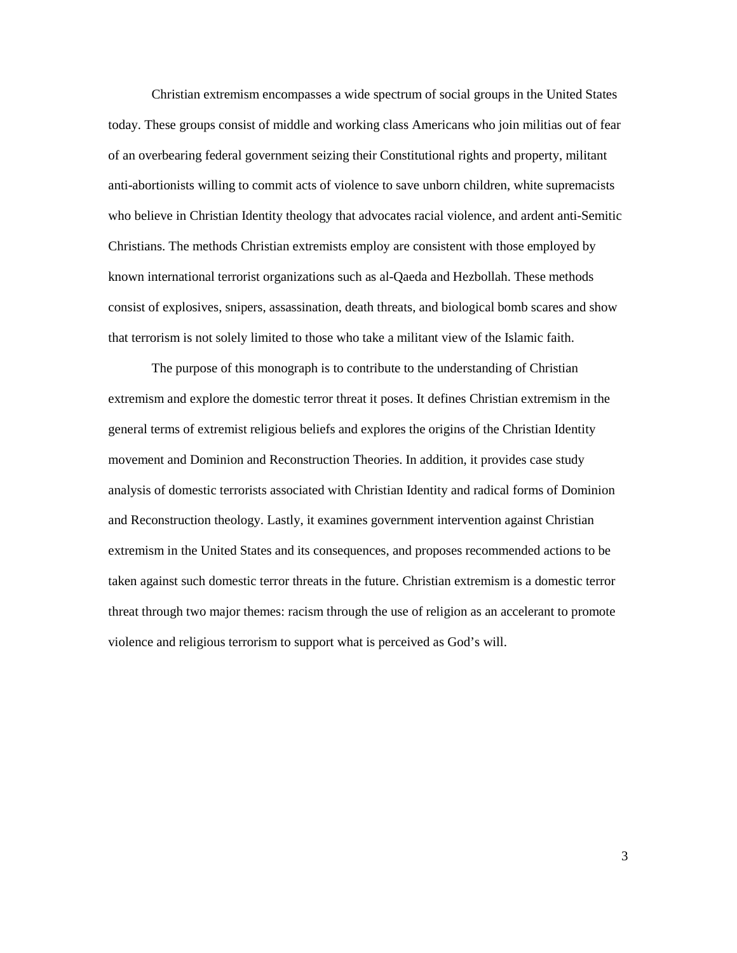Christian extremism encompasses a wide spectrum of social groups in the United States today. These groups consist of middle and working class Americans who join militias out of fear Christians. The methods Christian extremists employ are consistent with those employed by that terrorism is not solely limited to those who take a militant view of the Islamic faith. of an overbearing federal government seizing their Constitutional rights and property, militant anti-abortionists willing to commit acts of violence to save unborn children, white supremacists who believe in Christian Identity theology that advocates racial violence, and ardent anti-Semitic known international terrorist organizations such as al-Qaeda and Hezbollah. These methods consist of explosives, snipers, assassination, death threats, and biological bomb scares and show

 The purpose of this monograph is to contribute to the understanding of Christian general terms of extremist religious beliefs and explores the origins of the Christian Identity extremism and explore the domestic terror threat it poses. It defines Christian extremism in the movement and Dominion and Reconstruction Theories. In addition, it provides case study analysis of domestic terrorists associated with Christian Identity and radical forms of Dominion and Reconstruction theology. Lastly, it examines government intervention against Christian extremism in the United States and its consequences, and proposes recommended actions to be taken against such domestic terror threats in the future. Christian extremism is a domestic terror threat through two major themes: racism through the use of religion as an accelerant to promote violence and religious terrorism to support what is perceived as God's will.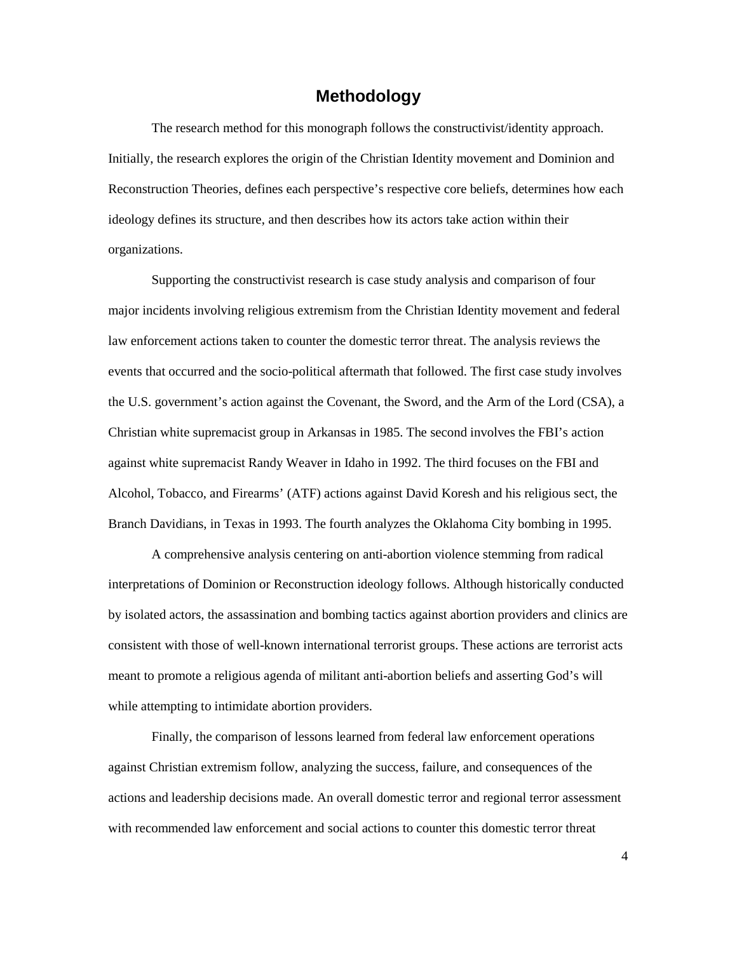### **Methodology**

<span id="page-9-0"></span> Initially, the research explores the origin of the Christian Identity movement and Dominion and Reconstruction Theories, defines each perspective's respective core beliefs, determines how each ideology defines its structure, and then describes how its actors take action within their The research method for this monograph follows the constructivist/identity approach. organizations.

 Supporting the constructivist research is case study analysis and comparison of four major incidents involving religious extremism from the Christian Identity movement and federal law enforcement actions taken to counter the domestic terror threat. The analysis reviews the events that occurred and the socio-political aftermath that followed. The first case study involves the U.S. government's action against the Covenant, the Sword, and the Arm of the Lord (CSA), a Christian white supremacist group in Arkansas in 1985. The second involves the FBI's action against white supremacist Randy Weaver in Idaho in 1992. The third focuses on the FBI and Alcohol, Tobacco, and Firearms' (ATF) actions against David Koresh and his religious sect, the Branch Davidians, in Texas in 1993. The fourth analyzes the Oklahoma City bombing in 1995.

A comprehensive analysis centering on anti-abortion violence stemming from radical interpretations of Dominion or Reconstruction ideology follows. Although historically conducted by isolated actors, the assassination and bombing tactics against abortion providers and clinics are consistent with those of well-known international terrorist groups. These actions are terrorist acts meant to promote a religious agenda of militant anti-abortion beliefs and asserting God's will while attempting to intimidate abortion providers.

 against Christian extremism follow, analyzing the success, failure, and consequences of the actions and leadership decisions made. An overall domestic terror and regional terror assessment with recommended law enforcement and social actions to counter this domestic terror threat Finally, the comparison of lessons learned from federal law enforcement operations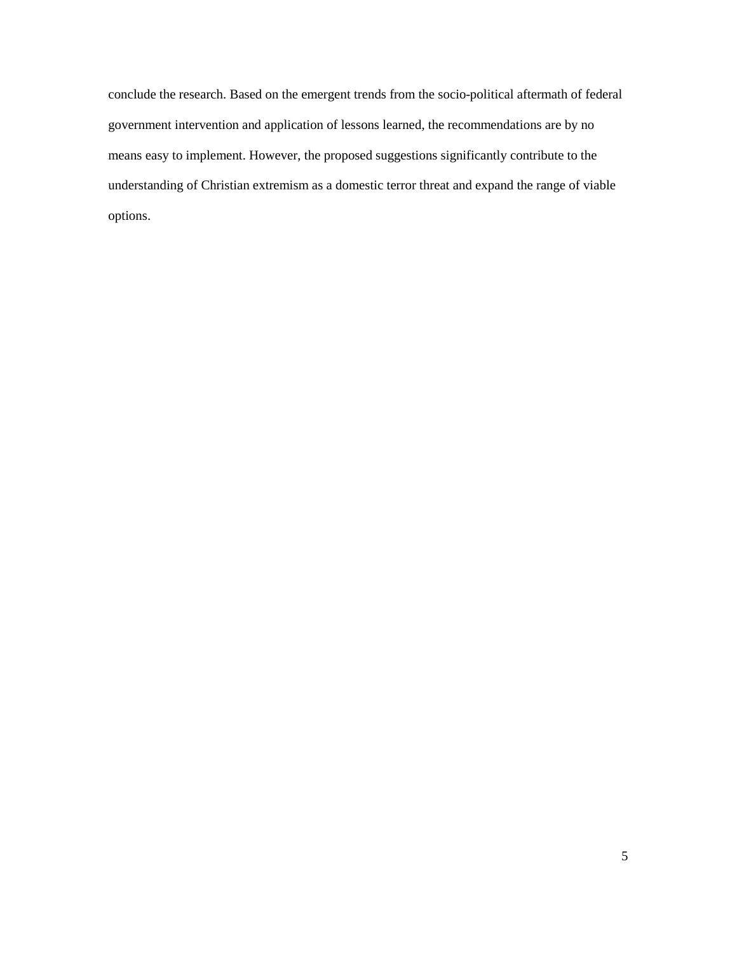understanding of Christian extremism as a domestic terror threat and expand the range of viable conclude the research. Based on the emergent trends from the socio-political aftermath of federal government intervention and application of lessons learned, the recommendations are by no means easy to implement. However, the proposed suggestions significantly contribute to the options.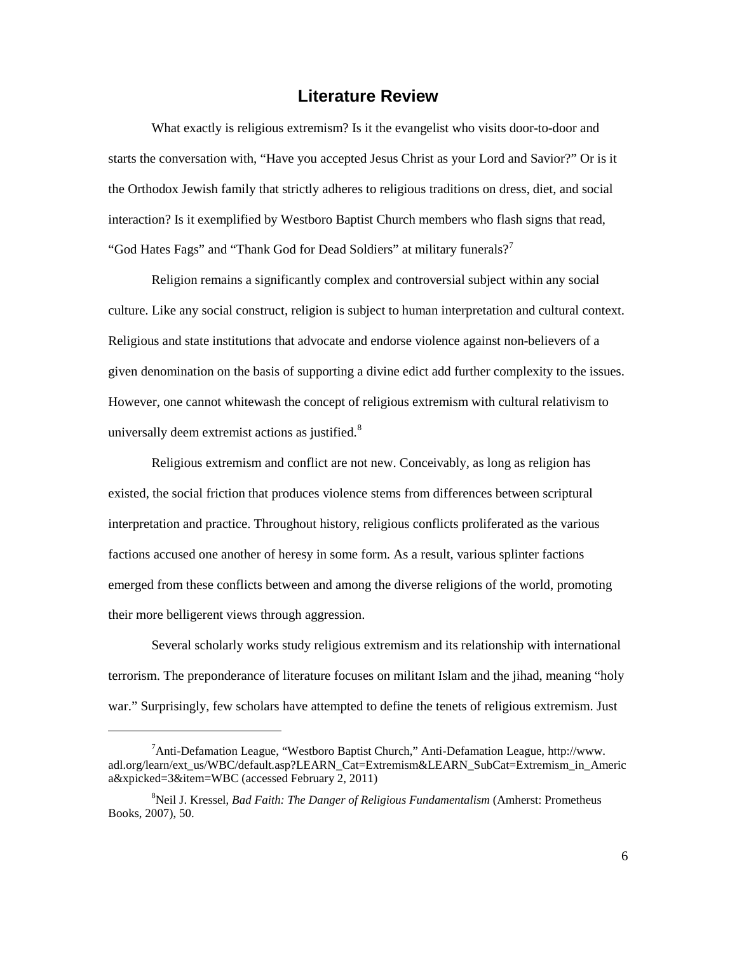### **Literature Review**

<span id="page-11-0"></span> starts the conversation with, "Have you accepted Jesus Christ as your Lord and Savior?" Or is it interaction? Is it exemplified by Westboro Baptist Church members who flash signs that read, "God Hates Fags" and "Thank God for Dead Soldiers" at military funerals?<sup>7</sup> What exactly is religious extremism? Is it the evangelist who visits door-to-door and the Orthodox Jewish family that strictly adheres to religious traditions on dress, diet, and social

 Religion remains a significantly complex and controversial subject within any social culture. Like any social construct, religion is subject to human interpretation and cultural context. given denomination on the basis of supporting a divine edict add further complexity to the issues. universally deem extremist actions as justified.<sup>[8](#page-11-2)</sup> Religious and state institutions that advocate and endorse violence against non-believers of a However, one cannot whitewash the concept of religious extremism with cultural relativism to

 existed, the social friction that produces violence stems from differences between scriptural interpretation and practice. Throughout history, religious conflicts proliferated as the various emerged from these conflicts between and among the diverse religions of the world, promoting Religious extremism and conflict are not new. Conceivably, as long as religion has factions accused one another of heresy in some form. As a result, various splinter factions their more belligerent views through aggression.

Several scholarly works study religious extremism and its relationship with international terrorism. The preponderance of literature focuses on militant Islam and the jihad, meaning "holy war." Surprisingly, few scholars have attempted to define the tenets of religious extremism. Just

<span id="page-11-1"></span><sup>&</sup>lt;sup>7</sup> Anti-Defamation League, "Westboro Baptist Church," Anti-Defamation League, http://www. adl.org/learn/ext\_us/WBC/default.asp?LEARN\_Cat=Extremism&LEARN\_SubCat=Extremism\_in\_Americ a&xpicked=3&item=WBC (accessed February 2, 2011)

<span id="page-11-2"></span> Books, 2007), 50. 8 Neil J. Kressel, *Bad Faith: The Danger of Religious Fundamentalism* (Amherst: Prometheus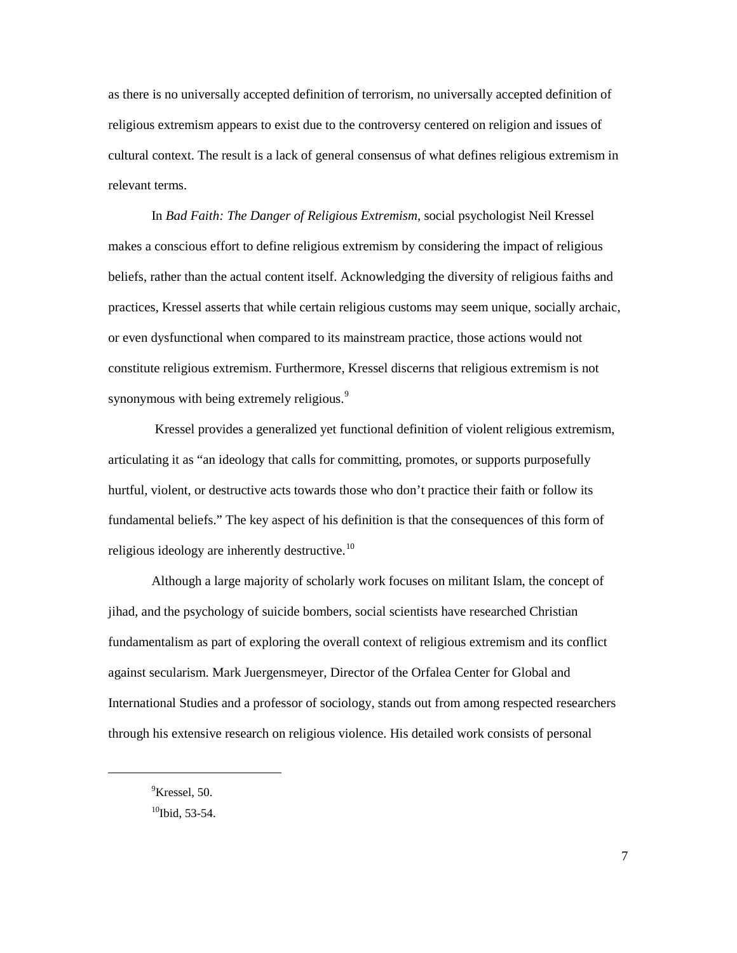religious extremism appears to exist due to the controversy centered on religion and issues of cultural context. The result is a lack of general consensus of what defines religious extremism in as there is no universally accepted definition of terrorism, no universally accepted definition of relevant terms.

synonymous with being extremely religious.<sup>9</sup> In *Bad Faith: The Danger of Religious Extremism*, social psychologist Neil Kressel makes a conscious effort to define religious extremism by considering the impact of religious beliefs, rather than the actual content itself. Acknowledging the diversity of religious faiths and practices, Kressel asserts that while certain religious customs may seem unique, socially archaic, or even dysfunctional when compared to its mainstream practice, those actions would not constitute religious extremism. Furthermore, Kressel discerns that religious extremism is not

 Kressel provides a generalized yet functional definition of violent religious extremism, articulating it as "an ideology that calls for committing, promotes, or supports purposefully hurtful, violent, or destructive acts towards those who don't practice their faith or follow its fundamental beliefs." The key aspect of his definition is that the consequences of this form of religious ideology are inherently destructive.<sup>10</sup>

 Although a large majority of scholarly work focuses on militant Islam, the concept of International Studies and a professor of sociology, stands out from among respected researchers through his extensive research on religious violence. His detailed work consists of personal jihad, and the psychology of suicide bombers, social scientists have researched Christian fundamentalism as part of exploring the overall context of religious extremism and its conflict against secularism. Mark Juergensmeyer, Director of the Orfalea Center for Global and

<span id="page-12-0"></span><sup>&</sup>lt;sup>9</sup>Kressel, 50.

<span id="page-12-1"></span> $10$ Ibid, 53-54.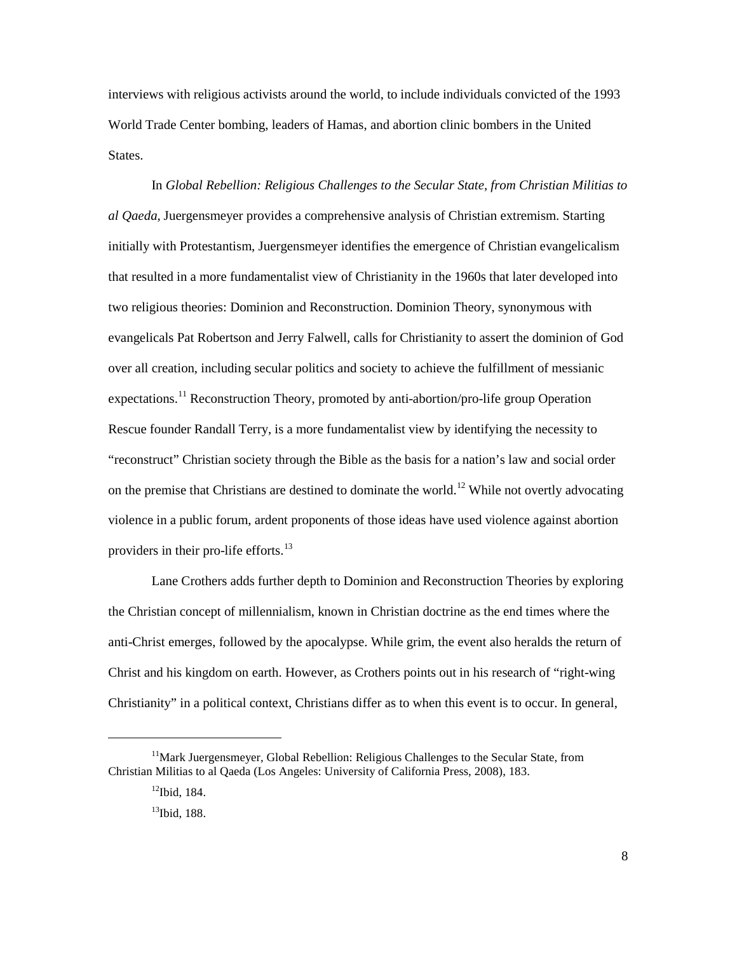interviews with religious activists around the world, to include individuals convicted of the 1993 World Trade Center bombing, leaders of Hamas, and abortion clinic bombers in the United States.

 that resulted in a more fundamentalist view of Christianity in the 1960s that later developed into evangelicals Pat Robertson and Jerry Falwell, calls for Christianity to assert the dominion of God "reconstruct" Christian society through the Bible as the basis for a nation's law and social order on the premise that Christians are destined to dominate the world.<sup>12</sup> While not overtly advocating In *Global Rebellion: Religious Challenges to the Secular State, from Christian Militias to al Qaeda,* Juergensmeyer provides a comprehensive analysis of Christian extremism. Starting initially with Protestantism, Juergensmeyer identifies the emergence of Christian evangelicalism two religious theories: Dominion and Reconstruction. Dominion Theory, synonymous with over all creation, including secular politics and society to achieve the fulfillment of messianic expectations.<sup>[11](#page-13-0)</sup> Reconstruction Theory, promoted by anti-abortion/pro-life group Operation Rescue founder Randall Terry, is a more fundamentalist view by identifying the necessity to violence in a public forum, ardent proponents of those ideas have used violence against abortion providers in their pro-life efforts.<sup>[13](#page-13-2)</sup>

 Christ and his kingdom on earth. However, as Crothers points out in his research of "right-wing Lane Crothers adds further depth to Dominion and Reconstruction Theories by exploring the Christian concept of millennialism, known in Christian doctrine as the end times where the anti-Christ emerges, followed by the apocalypse. While grim, the event also heralds the return of Christianity" in a political context, Christians differ as to when this event is to occur. In general,

<span id="page-13-2"></span><span id="page-13-1"></span><span id="page-13-0"></span><sup>&</sup>lt;sup>11</sup>Mark Juergensmeyer, Global Rebellion: Religious Challenges to the Secular State, from Christian Militias to al Qaeda (Los Angeles: University of California Press, 2008), 183.

 $12$ Ibid, 184.

 $13$ Ibid, 188.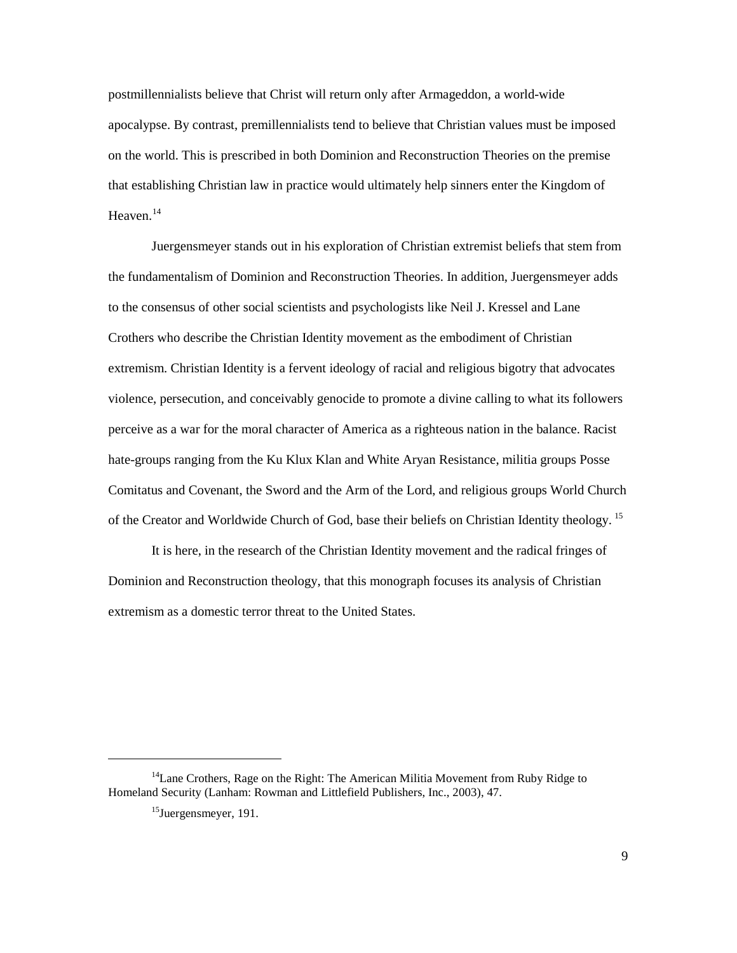apocalypse. By contrast, premillennialists tend to believe that Christian values must be imposed that establishing Christian law in practice would ultimately help sinners enter the Kingdom of Heaven. $^{14}$ postmillennialists believe that Christ will return only after Armageddon, a world-wide on the world. This is prescribed in both Dominion and Reconstruction Theories on the premise

 to the consensus of other social scientists and psychologists like Neil J. Kressel and Lane Crothers who describe the Christian Identity movement as the embodiment of Christian violence, persecution, and conceivably genocide to promote a divine calling to what its followers of the Creator and Worldwide Church of God, base their beliefs on Christian Identity theology.<sup>15</sup> Juergensmeyer stands out in his exploration of Christian extremist beliefs that stem from the fundamentalism of Dominion and Reconstruction Theories. In addition, Juergensmeyer adds extremism. Christian Identity is a fervent ideology of racial and religious bigotry that advocates perceive as a war for the moral character of America as a righteous nation in the balance. Racist hate-groups ranging from the Ku Klux Klan and White Aryan Resistance, militia groups Posse Comitatus and Covenant, the Sword and the Arm of the Lord, and religious groups World Church

 It is here, in the research of the Christian Identity movement and the radical fringes of extremism as a domestic terror threat to the United States. Dominion and Reconstruction theology, that this monograph focuses its analysis of Christian

<span id="page-14-1"></span><span id="page-14-0"></span><sup>&</sup>lt;sup>14</sup>Lane Crothers, Rage on the Right: The American Militia Movement from Ruby Ridge to Homeland Security (Lanham: Rowman and Littlefield Publishers, Inc., 2003), 47.<br><sup>15</sup>Juergensmeyer, 191. 9

 $^{15}$ Juergensmeyer, 191.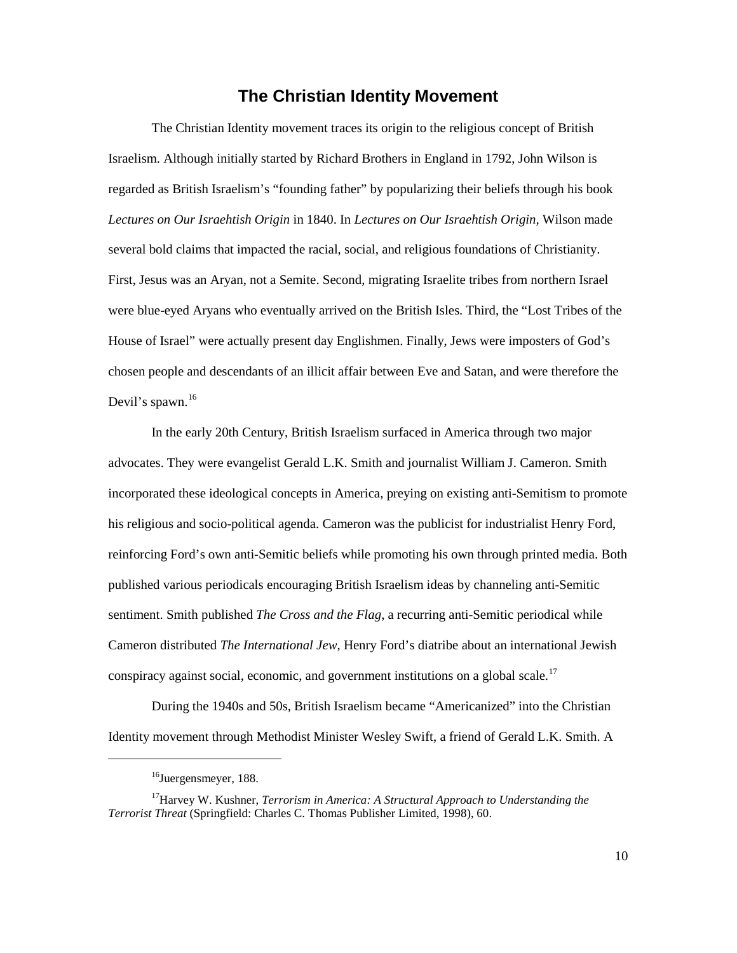### **The Christian Identity Movement**

<span id="page-15-0"></span> The Christian Identity movement traces its origin to the religious concept of British Devil's spawn.<sup>[16](#page-15-1)</sup> Israelism. Although initially started by Richard Brothers in England in 1792, John Wilson is regarded as British Israelism's "founding father" by popularizing their beliefs through his book *Lectures on Our Israehtish Origin* in 1840. In *Lectures on Our Israehtish Origin,* Wilson made several bold claims that impacted the racial, social, and religious foundations of Christianity. First, Jesus was an Aryan, not a Semite. Second, migrating Israelite tribes from northern Israel were blue-eyed Aryans who eventually arrived on the British Isles. Third, the "Lost Tribes of the House of Israel" were actually present day Englishmen. Finally, Jews were imposters of God's chosen people and descendants of an illicit affair between Eve and Satan, and were therefore the

 advocates. They were evangelist Gerald L.K. Smith and journalist William J. Cameron. Smith In the early 20th Century, British Israelism surfaced in America through two major incorporated these ideological concepts in America, preying on existing anti-Semitism to promote his religious and socio-political agenda. Cameron was the publicist for industrialist Henry Ford, reinforcing Ford's own anti-Semitic beliefs while promoting his own through printed media. Both published various periodicals encouraging British Israelism ideas by channeling anti-Semitic sentiment. Smith published *The Cross and the Flag*, a recurring anti-Semitic periodical while Cameron distributed *The International Jew*, Henry Ford's diatribe about an international Jewish conspiracy against social, economic, and government institutions on a global scale.<sup>[17](#page-15-2)</sup>

During the 1940s and 50s, British Israelism became "Americanized" into the Christian Identity movement through Methodist Minister Wesley Swift, a friend of Gerald L.K. Smith. A

<sup>&</sup>lt;sup>16</sup>Juergensmeyer, 188.

<span id="page-15-2"></span><span id="page-15-1"></span>*Terrorist Threat* (Springfield: Charles C. Thomas Publisher Limited, 1998), 60. 10 <sup>17</sup>Harvey W. Kushner, *Terrorism in America: A Structural Approach to Understanding the*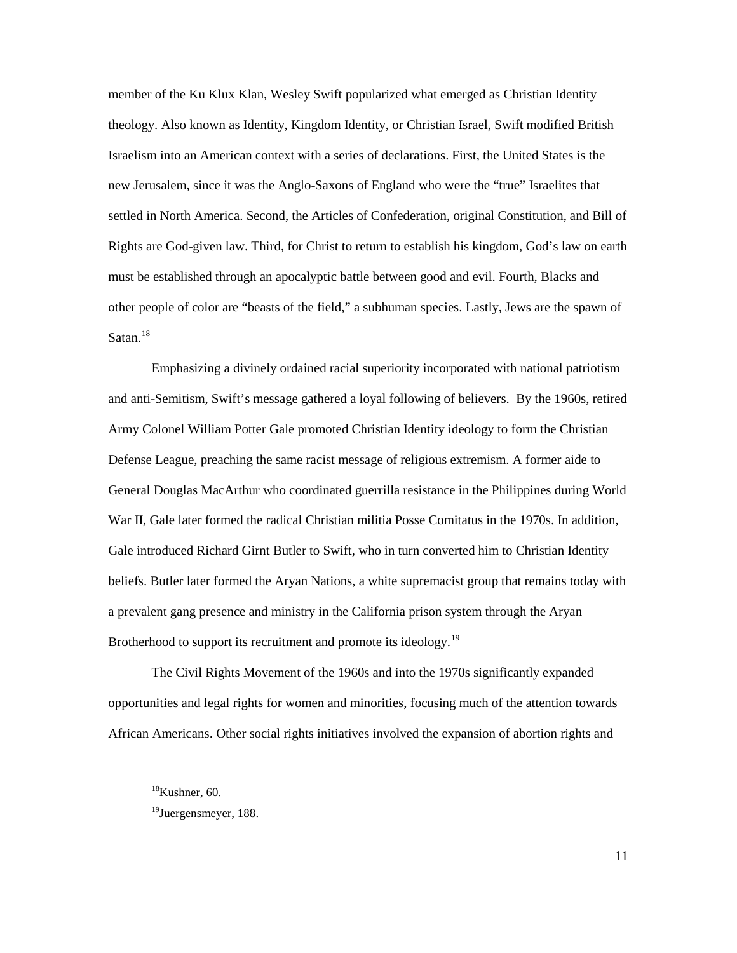Israelism into an American context with a series of declarations. First, the United States is the Satan.<sup>18</sup> member of the Ku Klux Klan, Wesley Swift popularized what emerged as Christian Identity theology. Also known as Identity, Kingdom Identity, or Christian Israel, Swift modified British new Jerusalem, since it was the Anglo-Saxons of England who were the "true" Israelites that settled in North America. Second, the Articles of Confederation, original Constitution, and Bill of Rights are God-given law. Third, for Christ to return to establish his kingdom, God's law on earth must be established through an apocalyptic battle between good and evil. Fourth, Blacks and other people of color are "beasts of the field," a subhuman species. Lastly, Jews are the spawn of

 beliefs. Butler later formed the Aryan Nations, a white supremacist group that remains today with Brotherhood to support its recruitment and promote its ideology.<sup>19</sup> Emphasizing a divinely ordained racial superiority incorporated with national patriotism and anti-Semitism, Swift's message gathered a loyal following of believers. By the 1960s, retired Army Colonel William Potter Gale promoted Christian Identity ideology to form the Christian Defense League, preaching the same racist message of religious extremism. A former aide to General Douglas MacArthur who coordinated guerrilla resistance in the Philippines during World War II, Gale later formed the radical Christian militia Posse Comitatus in the 1970s. In addition, Gale introduced [Richard Girnt Butler](http://en.wikipedia.org/wiki/Richard_Girnt_Butler) to Swift, who in turn converted him to Christian Identity a prevalent gang presence and ministry in the California prison system through the Aryan

The Civil Rights Movement of the 1960s and into the 1970s significantly expanded opportunities and legal rights for women and minorities, focusing much of the attention towards African Americans. Other social rights initiatives involved the expansion of abortion rights and

<span id="page-16-0"></span> ${}^{18}$ Kushner, 60.

<span id="page-16-1"></span><sup>&</sup>lt;sup>19</sup>Juergensmeyer, 188.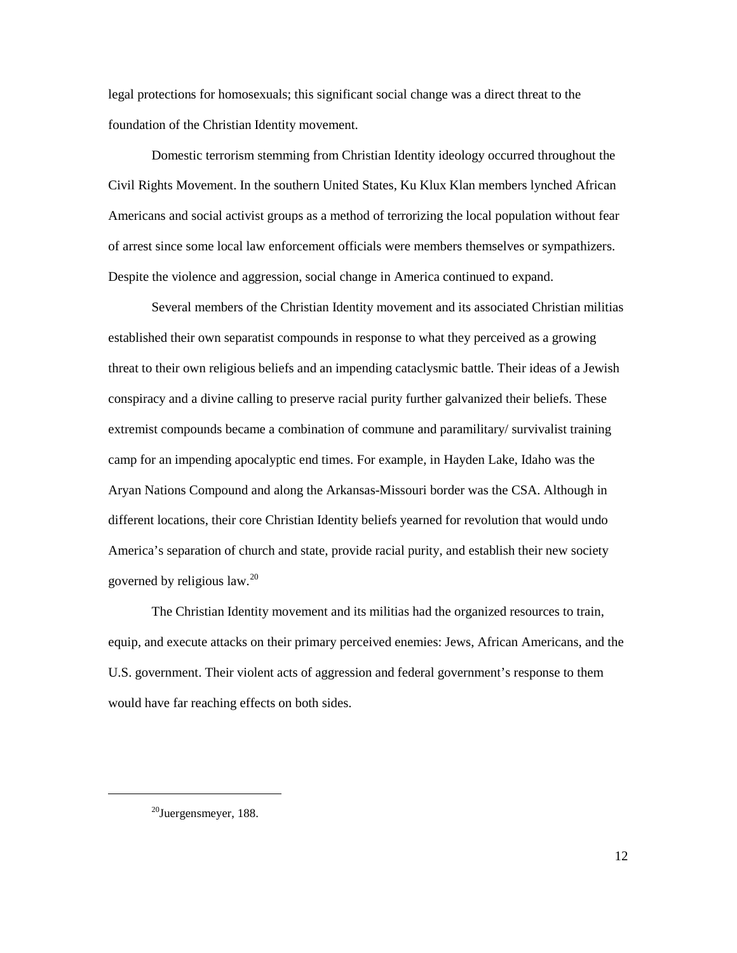legal protections for homosexuals; this significant social change was a direct threat to the foundation of the Christian Identity movement.

 Americans and social activist groups as a method of terrorizing the local population without fear Despite the violence and aggression, social change in America continued to expand. Domestic terrorism stemming from Christian Identity ideology occurred throughout the Civil Rights Movement. In the southern United States, Ku Klux Klan members lynched African of arrest since some local law enforcement officials were members themselves or sympathizers.

 America's separation of church and state, provide racial purity, and establish their new society Several members of the Christian Identity movement and its associated Christian militias established their own separatist compounds in response to what they perceived as a growing threat to their own religious beliefs and an impending cataclysmic battle. Their ideas of a Jewish conspiracy and a divine calling to preserve racial purity further galvanized their beliefs. These extremist compounds became a combination of commune and paramilitary/ survivalist training camp for an impending apocalyptic end times. For example, in Hayden Lake, Idaho was the Aryan Nations Compound and along the Arkansas-Missouri border was the CSA. Although in different locations, their core Christian Identity beliefs yearned for revolution that would undo governed by religious law.[20](#page-17-0) 

 The Christian Identity movement and its militias had the organized resources to train, equip, and execute attacks on their primary perceived enemies: Jews, African Americans, and the U.S. government. Their violent acts of aggression and federal government's response to them would have far reaching effects on both sides.

<span id="page-17-0"></span><sup>20</sup>Juergensmeyer, 188.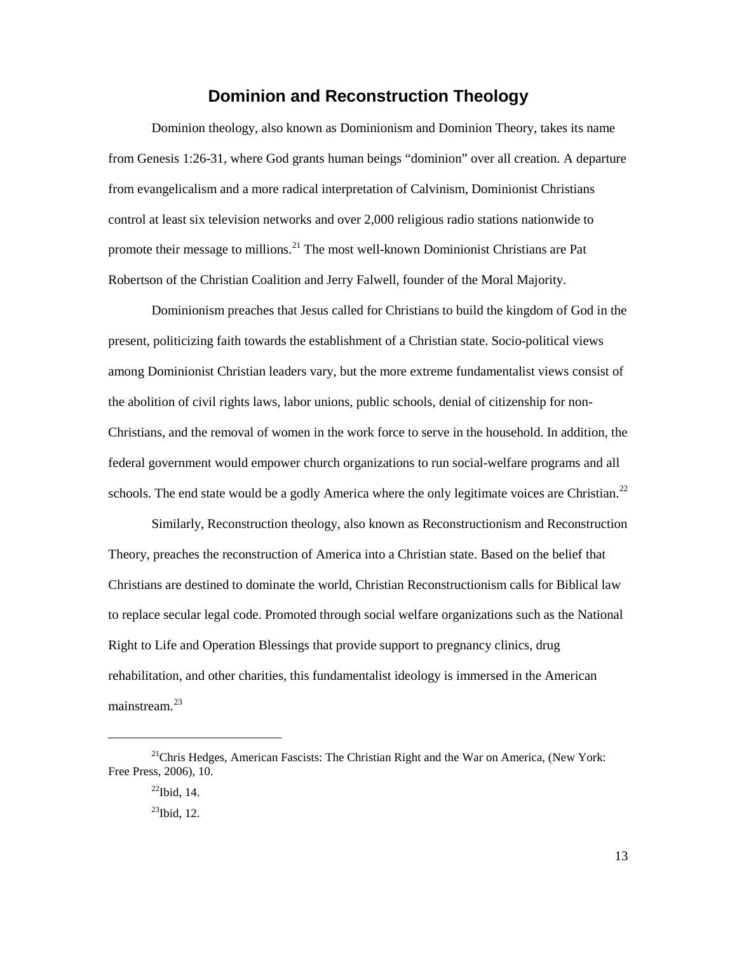### **Dominion and Reconstruction Theology**

<span id="page-18-0"></span> from evangelicalism and a more radical interpretation of Calvinism, Dominionist Christians control at least six television networks and over 2,000 religious radio stations nationwide to promote their message to millions.<sup>21</sup> The most well-known Dominionist Christians are Pat Dominion theology, also known as Dominionism and Dominion Theory, takes its name from Genesis 1:26-31, where God grants human beings "dominion" over all creation. A departure Robertson of the Christian Coalition and Jerry Falwell, founder of the Moral Majority.

 the abolition of civil rights laws, labor unions, public schools, denial of citizenship for nonschools. The end state would be a godly America where the only legitimate voices are Christian.<sup>22</sup> Dominionism preaches that Jesus called for Christians to build the kingdom of God in the present, politicizing faith towards the establishment of a Christian state. Socio-political views among Dominionist Christian leaders vary, but the more extreme fundamentalist views consist of Christians, and the removal of women in the work force to serve in the household. In addition, the federal government would empower church organizations to run social-welfare programs and all

 Right to Life and Operation Blessings that provide support to pregnancy clinics, drug mainstream.<sup>23</sup> Similarly, Reconstruction theology, also known as Reconstructionism and Reconstruction Theory, preaches the reconstruction of America into a Christian state. Based on the belief that Christians are destined to dominate the world, Christian Reconstructionism calls for Biblical law to replace secular legal code. Promoted through social welfare organizations such as the National rehabilitation, and other charities, this fundamentalist ideology is immersed in the American

<span id="page-18-3"></span><span id="page-18-2"></span><span id="page-18-1"></span> Free Press, 2006), 10. <sup>21</sup>Chris Hedges, American Fascists: The Christian Right and the War on America, (New York:

 $^{22}$ Ibid, 14.

 $^{23}$ Ibid, 12.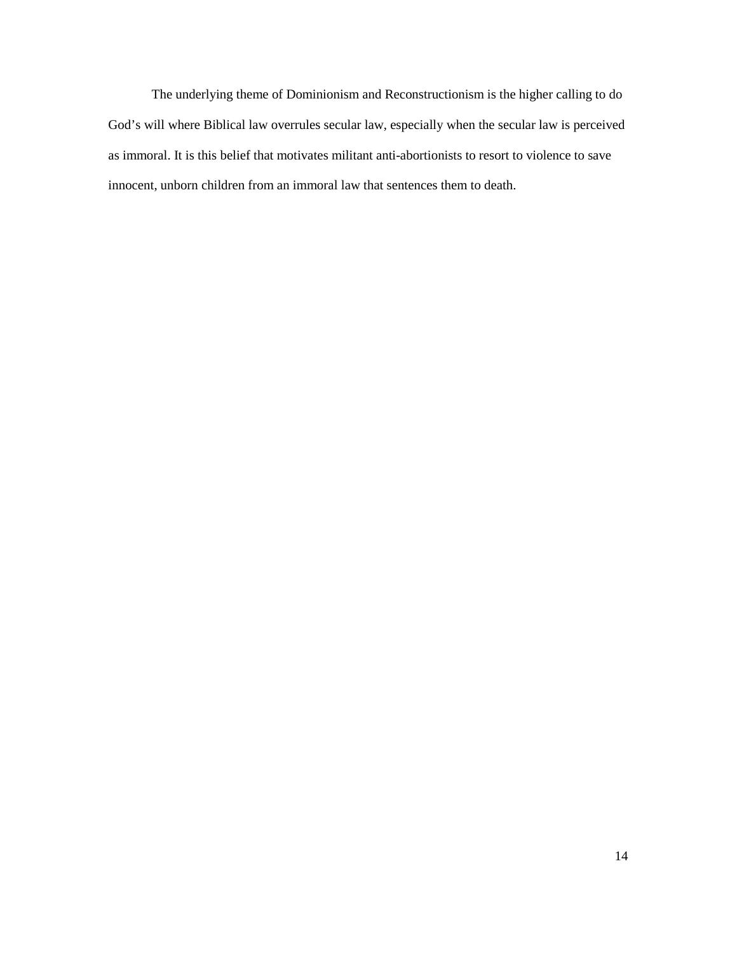The underlying theme of Dominionism and Reconstructionism is the higher calling to do as immoral. It is this belief that motivates militant anti-abortionists to resort to violence to save God's will where Biblical law overrules secular law, especially when the secular law is perceived innocent, unborn children from an immoral law that sentences them to death.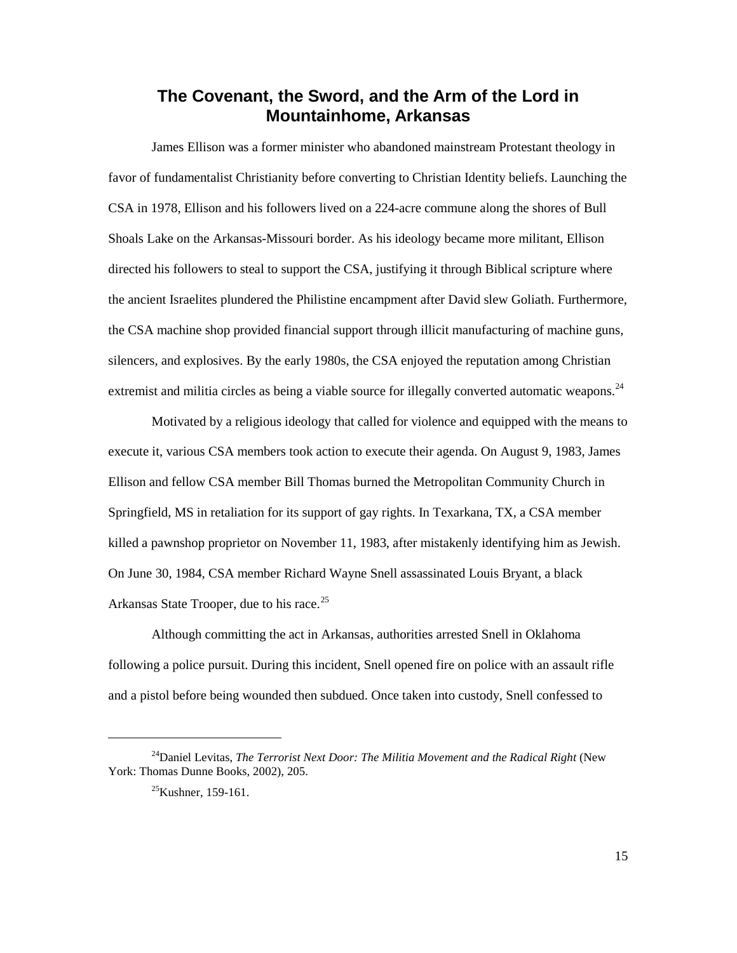### <span id="page-20-0"></span> **Mountainhome, Arkansas The Covenant, the Sword, and the Arm of the Lord in**

extremist and militia circles as being a viable source for illegally converted automatic weapons.<sup>[24](#page-20-1)</sup> James Ellison was a former minister who abandoned mainstream Protestant theology in favor of fundamentalist Christianity before converting to Christian Identity beliefs. Launching the CSA in 1978, Ellison and his followers lived on a 224-acre commune along the shores of Bull Shoals Lake on the Arkansas-Missouri border. As his ideology became more militant, Ellison directed his followers to steal to support the CSA, justifying it through Biblical scripture where the ancient Israelites plundered the Philistine encampment after David slew Goliath. Furthermore, the CSA machine shop provided financial support through illicit manufacturing of machine guns, silencers, and explosives. By the early 1980s, the CSA enjoyed the reputation among Christian

 Motivated by a religious ideology that called for violence and equipped with the means to On June 30, 1984, CSA member Richard Wayne Snell assassinated Louis Bryant, a black Arkansas State Trooper, due to his race.<sup>[25](#page-20-2)</sup> execute it, various CSA members took action to execute their agenda. On August 9, 1983, James Ellison and fellow CSA member Bill Thomas burned the Metropolitan Community Church in Springfield, MS in retaliation for its support of gay rights. In Texarkana, TX, a CSA member killed a pawnshop proprietor on November 11, 1983, after mistakenly identifying him as Jewish.

 following a police pursuit. During this incident, Snell opened fire on police with an assault rifle and a pistol before being wounded then subdued. Once taken into custody, Snell confessed to Although committing the act in Arkansas, authorities arrested Snell in Oklahoma

<span id="page-20-2"></span><span id="page-20-1"></span><sup>&</sup>lt;sup>24</sup>Daniel Levitas, *The Terrorist Next Door: The Militia Movement and the Radical Right* (New York: Thomas Dunne Books, 2002), 205.

 $^{25}$ Kushner, 159-161.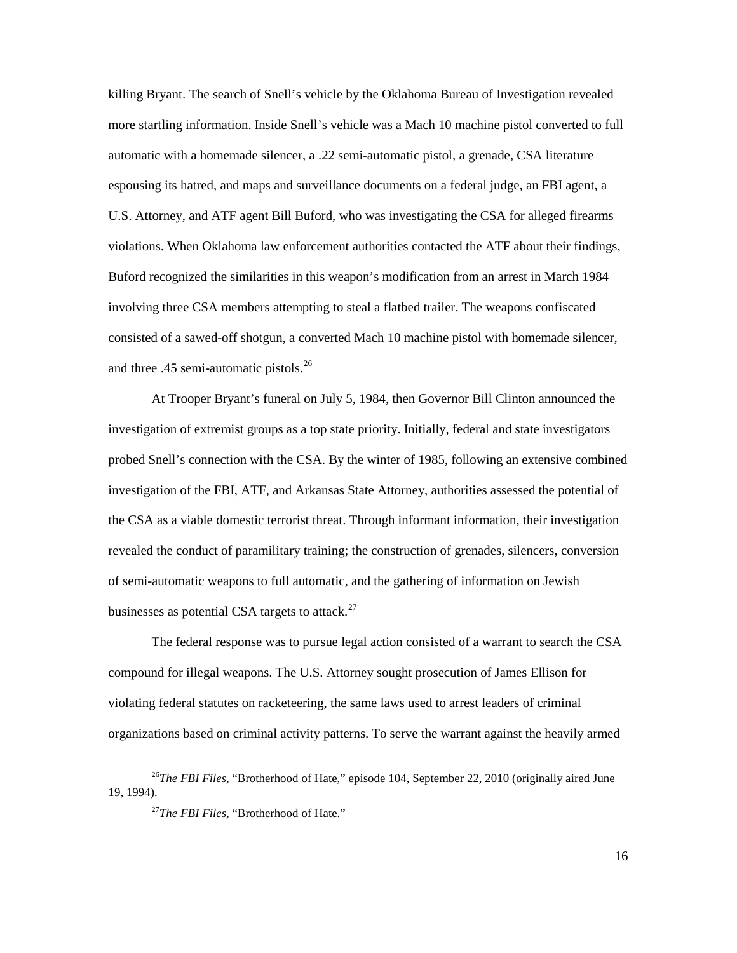killing Bryant. The search of Snell's vehicle by the Oklahoma Bureau of Investigation revealed more startling information. Inside Snell's vehicle was a Mach 10 machine pistol converted to full espousing its hatred, and maps and surveillance documents on a federal judge, an FBI agent, a and three .45 semi-automatic pistols.<sup>[26](#page-21-0)</sup> automatic with a homemade silencer, a .22 semi-automatic pistol, a grenade, CSA literature U.S. Attorney, and ATF agent Bill Buford, who was investigating the CSA for alleged firearms violations. When Oklahoma law enforcement authorities contacted the ATF about their findings, Buford recognized the similarities in this weapon's modification from an arrest in March 1984 involving three CSA members attempting to steal a flatbed trailer. The weapons confiscated consisted of a sawed-off shotgun, a converted Mach 10 machine pistol with homemade silencer,

 investigation of extremist groups as a top state priority. Initially, federal and state investigators At Trooper Bryant's funeral on July 5, 1984, then Governor Bill Clinton announced the probed Snell's connection with the CSA. By the winter of 1985, following an extensive combined investigation of the FBI, ATF, and Arkansas State Attorney, authorities assessed the potential of the CSA as a viable domestic terrorist threat. Through informant information, their investigation revealed the conduct of paramilitary training; the construction of grenades, silencers, conversion of semi-automatic weapons to full automatic, and the gathering of information on Jewish businesses as potential CSA targets to attack. $^{27}$  $^{27}$  $^{27}$ 

 violating federal statutes on racketeering, the same laws used to arrest leaders of criminal organizations based on criminal activity patterns. To serve the warrant against the heavily armed The federal response was to pursue legal action consisted of a warrant to search the CSA compound for illegal weapons. The U.S. Attorney sought prosecution of James Ellison for

<span id="page-21-1"></span><span id="page-21-0"></span><sup>&</sup>lt;sup>26</sup>The FBI Files, "Brotherhood of Hate," episode 104, September 22, 2010 (originally aired June 19, 1994).

<sup>27</sup>*The FBI Files*, "Brotherhood of Hate."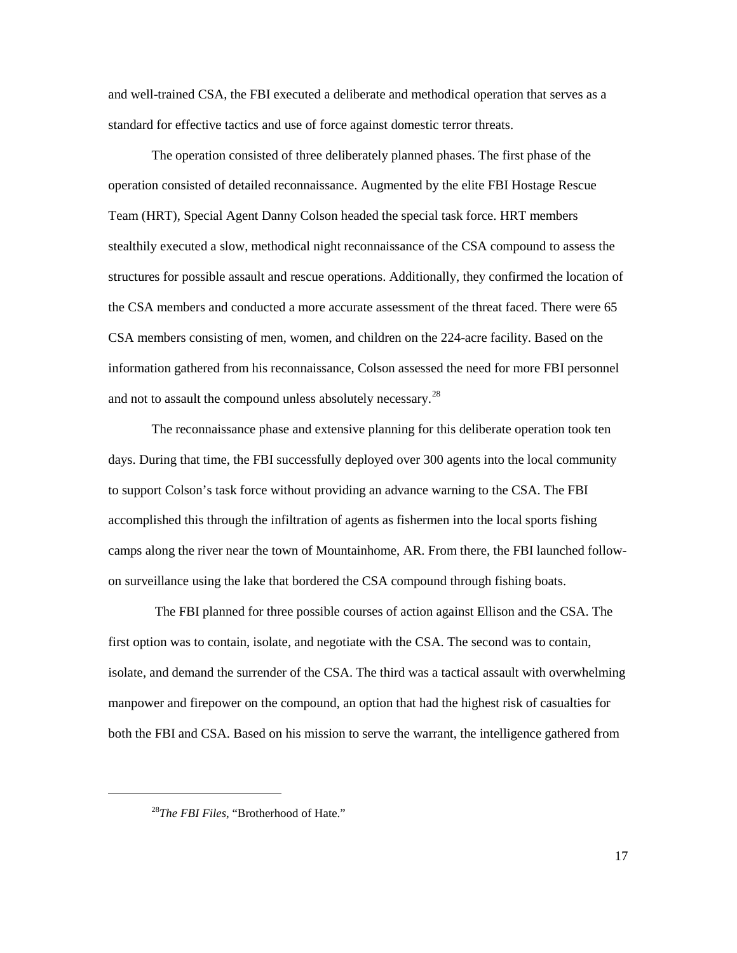standard for effective tactics and use of force against domestic terror threats. and well-trained CSA, the FBI executed a deliberate and methodical operation that serves as a

 stealthily executed a slow, methodical night reconnaissance of the CSA compound to assess the structures for possible assault and rescue operations. Additionally, they confirmed the location of CSA members consisting of men, women, and children on the 224-acre facility. Based on the information gathered from his reconnaissance, Colson assessed the need for more FBI personnel and not to assault the compound unless absolutely necessary. $^{28}$  $^{28}$  $^{28}$ The operation consisted of three deliberately planned phases. The first phase of the operation consisted of detailed reconnaissance. Augmented by the elite FBI Hostage Rescue Team (HRT), Special Agent Danny Colson headed the special task force. HRT members the CSA members and conducted a more accurate assessment of the threat faced. There were 65

 days. During that time, the FBI successfully deployed over 300 agents into the local community camps along the river near the town of Mountainhome, AR. From there, the FBI launched follow-The reconnaissance phase and extensive planning for this deliberate operation took ten to support Colson's task force without providing an advance warning to the CSA. The FBI accomplished this through the infiltration of agents as fishermen into the local sports fishing on surveillance using the lake that bordered the CSA compound through fishing boats.

 The FBI planned for three possible courses of action against Ellison and the CSA. The first option was to contain, isolate, and negotiate with the CSA. The second was to contain, isolate, and demand the surrender of the CSA. The third was a tactical assault with overwhelming manpower and firepower on the compound, an option that had the highest risk of casualties for both the FBI and CSA. Based on his mission to serve the warrant, the intelligence gathered from

<span id="page-22-0"></span> $\overline{a}$ 

<sup>28</sup>*The FBI Files*, "Brotherhood of Hate."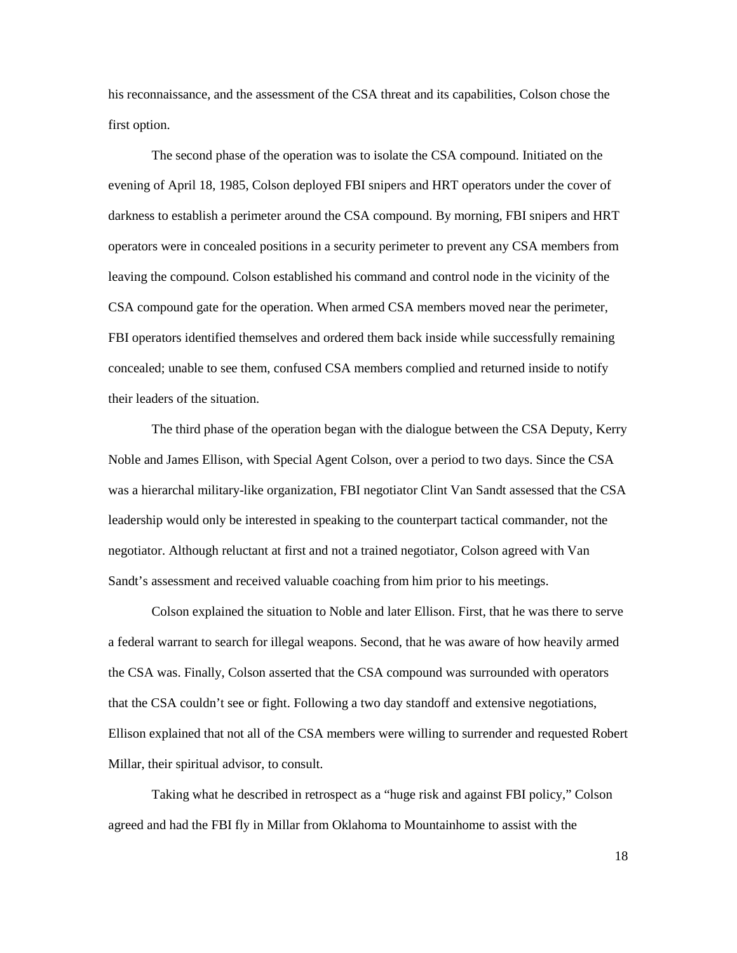his reconnaissance, and the assessment of the CSA threat and its capabilities, Colson chose the first option.

 The second phase of the operation was to isolate the CSA compound. Initiated on the evening of April 18, 1985, Colson deployed FBI snipers and HRT operators under the cover of concealed; unable to see them, confused CSA members complied and returned inside to notify darkness to establish a perimeter around the CSA compound. By morning, FBI snipers and HRT operators were in concealed positions in a security perimeter to prevent any CSA members from leaving the compound. Colson established his command and control node in the vicinity of the CSA compound gate for the operation. When armed CSA members moved near the perimeter, FBI operators identified themselves and ordered them back inside while successfully remaining their leaders of the situation.

 leadership would only be interested in speaking to the counterpart tactical commander, not the negotiator. Although reluctant at first and not a trained negotiator, Colson agreed with Van The third phase of the operation began with the dialogue between the CSA Deputy, Kerry Noble and James Ellison, with Special Agent Colson, over a period to two days. Since the CSA was a hierarchal military-like organization, FBI negotiator Clint Van Sandt assessed that the CSA Sandt's assessment and received valuable coaching from him prior to his meetings.

 a federal warrant to search for illegal weapons. Second, that he was aware of how heavily armed Colson explained the situation to Noble and later Ellison. First, that he was there to serve the CSA was. Finally, Colson asserted that the CSA compound was surrounded with operators that the CSA couldn't see or fight. Following a two day standoff and extensive negotiations, Ellison explained that not all of the CSA members were willing to surrender and requested Robert Millar, their spiritual advisor, to consult.

Taking what he described in retrospect as a "huge risk and against FBI policy," Colson agreed and had the FBI fly in Millar from Oklahoma to Mountainhome to assist with the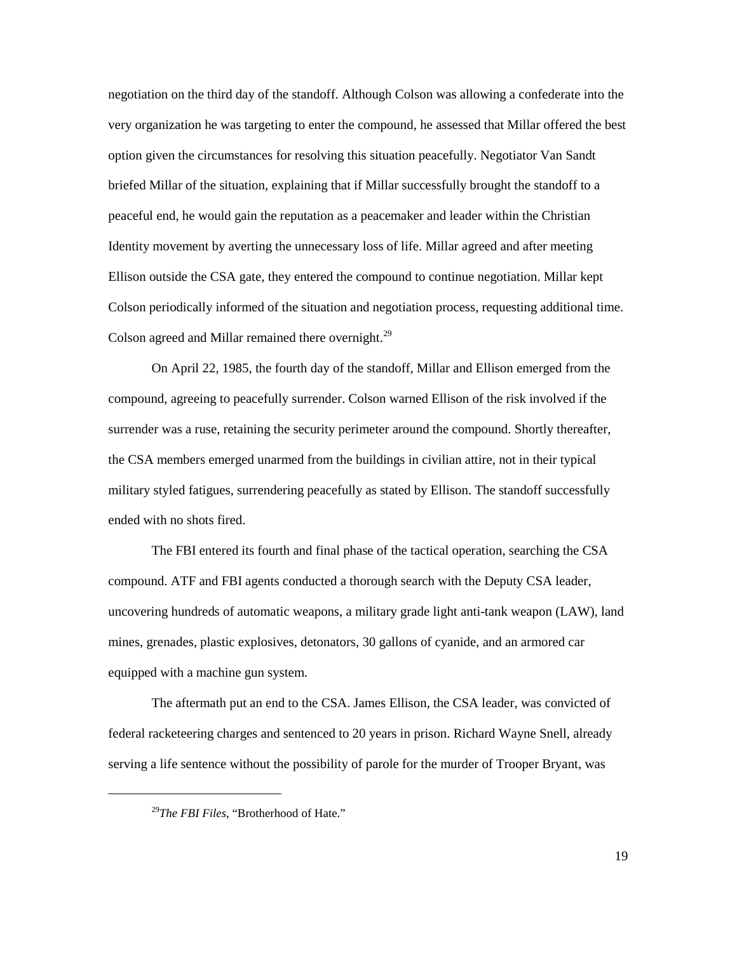negotiation on the third day of the standoff. Although Colson was allowing a confederate into the very organization he was targeting to enter the compound, he assessed that Millar offered the best option given the circumstances for resolving this situation peacefully. Negotiator Van Sandt briefed Millar of the situation, explaining that if Millar successfully brought the standoff to a Colson periodically informed of the situation and negotiation process, requesting additional time. peaceful end, he would gain the reputation as a peacemaker and leader within the Christian Identity movement by averting the unnecessary loss of life. Millar agreed and after meeting Ellison outside the CSA gate, they entered the compound to continue negotiation. Millar kept Colson agreed and Millar remained there overnight.<sup>29</sup>

 On April 22, 1985, the fourth day of the standoff, Millar and Ellison emerged from the the CSA members emerged unarmed from the buildings in civilian attire, not in their typical military styled fatigues, surrendering peacefully as stated by Ellison. The standoff successfully ended with no shots fired. compound, agreeing to peacefully surrender. Colson warned Ellison of the risk involved if the surrender was a ruse, retaining the security perimeter around the compound. Shortly thereafter,

The FBI entered its fourth and final phase of the tactical operation, searching the CSA compound. ATF and FBI agents conducted a thorough search with the Deputy CSA leader, uncovering hundreds of automatic weapons, a military grade light anti-tank weapon (LAW), land mines, grenades, plastic explosives, detonators, 30 gallons of cyanide, and an armored car equipped with a machine gun system.

 serving a life sentence without the possibility of parole for the murder of Trooper Bryant, was The aftermath put an end to the CSA. James Ellison, the CSA leader, was convicted of federal racketeering charges and sentenced to 20 years in prison. Richard Wayne Snell, already

<span id="page-24-0"></span> $\overline{a}$ 

<sup>29</sup>*The FBI Files*, "Brotherhood of Hate."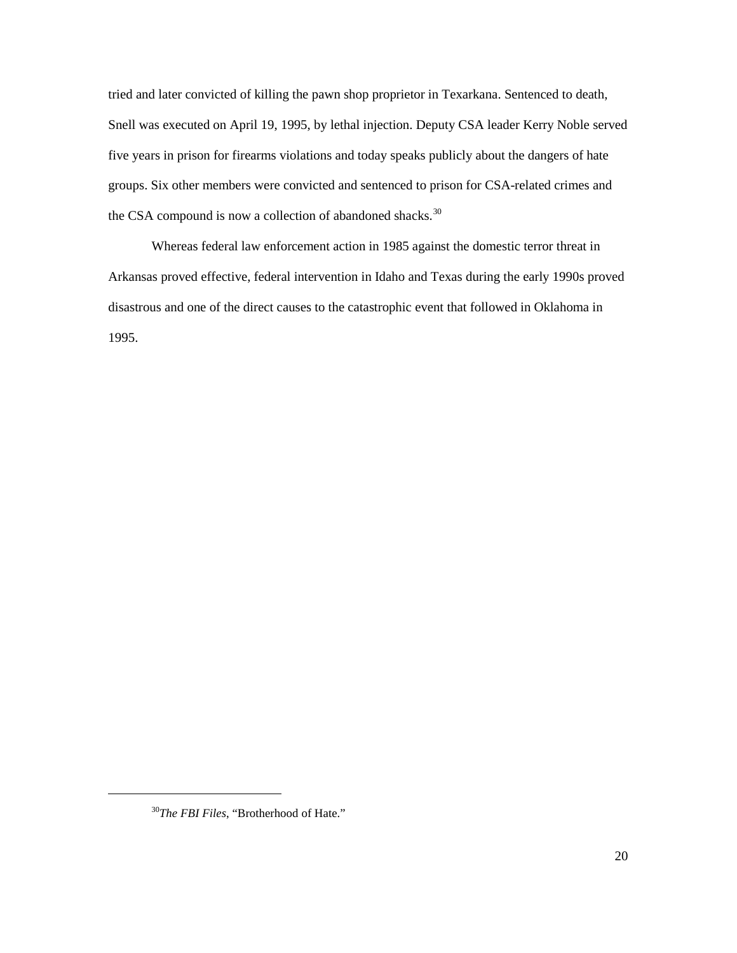five years in prison for firearms violations and today speaks publicly about the dangers of hate the CSA compound is now a collection of abandoned shacks. $30$ tried and later convicted of killing the pawn shop proprietor in Texarkana. Sentenced to death, Snell was executed on April 19, 1995, by lethal injection. Deputy CSA leader Kerry Noble served groups. Six other members were convicted and sentenced to prison for CSA-related crimes and

 disastrous and one of the direct causes to the catastrophic event that followed in Oklahoma in Whereas federal law enforcement action in 1985 against the domestic terror threat in Arkansas proved effective, federal intervention in Idaho and Texas during the early 1990s proved 1995.

<span id="page-25-0"></span><sup>30</sup>*The FBI Files*, "Brotherhood of Hate."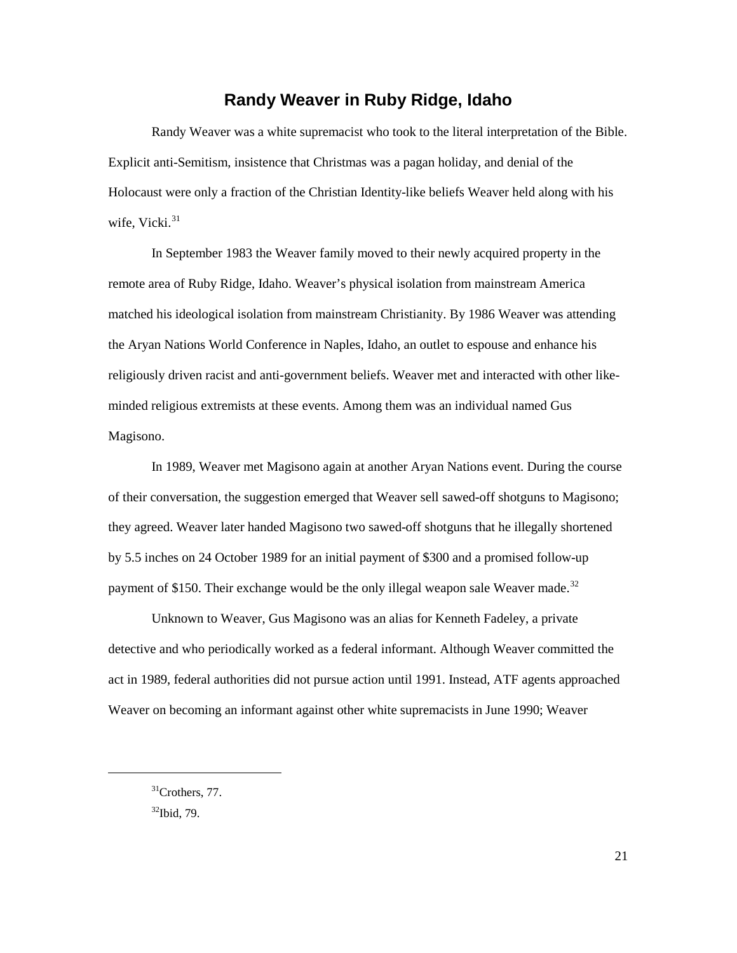### **Randy Weaver in Ruby Ridge, Idaho**

<span id="page-26-0"></span> Randy Weaver was a white supremacist who took to the literal interpretation of the Bible. wife, Vicki.<sup>31</sup> Explicit anti-Semitism, insistence that Christmas was a pagan holiday, and denial of the Holocaust were only a fraction of the Christian Identity-like beliefs Weaver held along with his

 matched his ideological isolation from mainstream Christianity. By 1986 Weaver was attending the Aryan Nations World Conference in Naples, Idaho, an outlet to espouse and enhance his religiously driven racist and anti-government beliefs. Weaver met and interacted with other like-In September 1983 the Weaver family moved to their newly acquired property in the remote area of Ruby Ridge, Idaho. Weaver's physical isolation from mainstream America minded religious extremists at these events. Among them was an individual named Gus Magisono.

payment of \$150. Their exchange would be the only illegal weapon sale Weaver made.<sup>32</sup> In 1989, Weaver met Magisono again at another Aryan Nations event. During the course of their conversation, the suggestion emerged that Weaver sell sawed-off shotguns to Magisono; they agreed. Weaver later handed Magisono two sawed-off shotguns that he illegally shortened by 5.5 inches on 24 October 1989 for an initial payment of \$300 and a promised follow-up

 Unknown to Weaver, Gus Magisono was an alias for Kenneth Fadeley, a private Weaver on becoming an informant against other white supremacists in June 1990; Weaver detective and who periodically worked as a federal informant. Although Weaver committed the act in 1989, federal authorities did not pursue action until 1991. Instead, ATF agents approached

<span id="page-26-2"></span><span id="page-26-1"></span><sup>&</sup>lt;sup>31</sup>Crothers, 77.  $32$ Ibid, 79.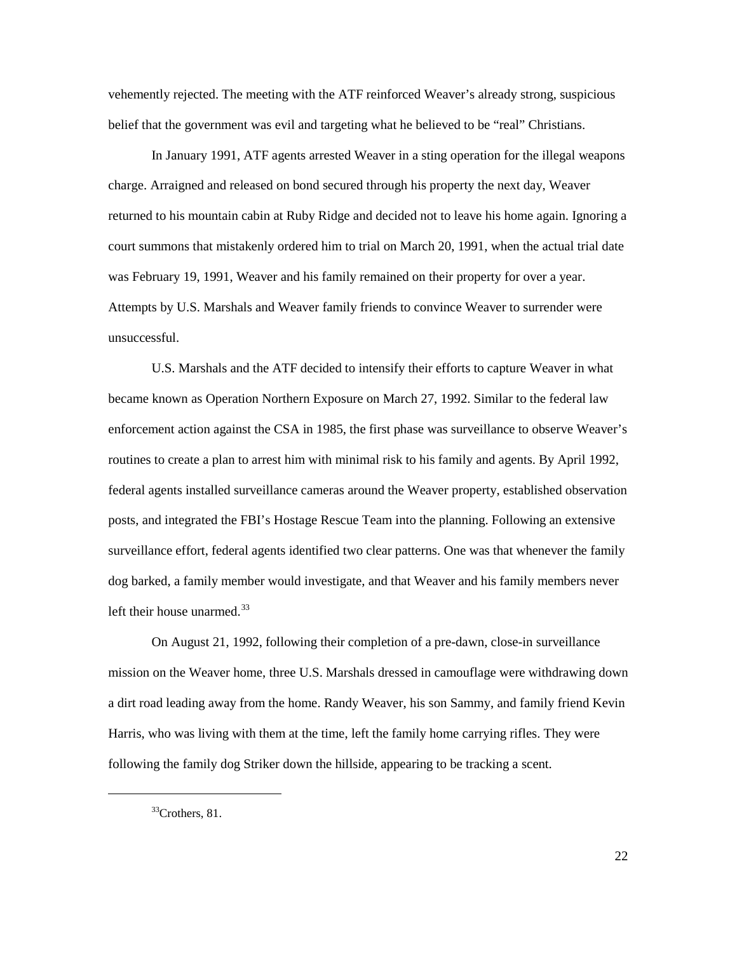vehemently rejected. The meeting with the ATF reinforced Weaver's already strong, suspicious belief that the government was evil and targeting what he believed to be "real" Christians.

 In January 1991, ATF agents arrested Weaver in a sting operation for the illegal weapons court summons that mistakenly ordered him to trial on March 20, 1991, when the actual trial date was February 19, 1991, Weaver and his family remained on their property for over a year. charge. Arraigned and released on bond secured through his property the next day, Weaver returned to his mountain cabin at Ruby Ridge and decided not to leave his home again. Ignoring a Attempts by U.S. Marshals and Weaver family friends to convince Weaver to surrender were unsuccessful.

 U.S. Marshals and the ATF decided to intensify their efforts to capture Weaver in what became known as Operation Northern Exposure on March 27, 1992. Similar to the federal law surveillance effort, federal agents identified two clear patterns. One was that whenever the family left their house unarmed. $33$ enforcement action against the CSA in 1985, the first phase was surveillance to observe Weaver's routines to create a plan to arrest him with minimal risk to his family and agents. By April 1992, federal agents installed surveillance cameras around the Weaver property, established observation posts, and integrated the FBI's Hostage Rescue Team into the planning. Following an extensive dog barked, a family member would investigate, and that Weaver and his family members never

 mission on the Weaver home, three U.S. Marshals dressed in camouflage were withdrawing down On August 21, 1992, following their completion of a pre-dawn, close-in surveillance a dirt road leading away from the home. Randy Weaver, his son Sammy, and family friend Kevin Harris, who was living with them at the time, left the family home carrying rifles. They were following the family dog Striker down the hillside, appearing to be tracking a scent.

<span id="page-27-0"></span> $\overline{a}$ 

 $33$ Crothers, 81.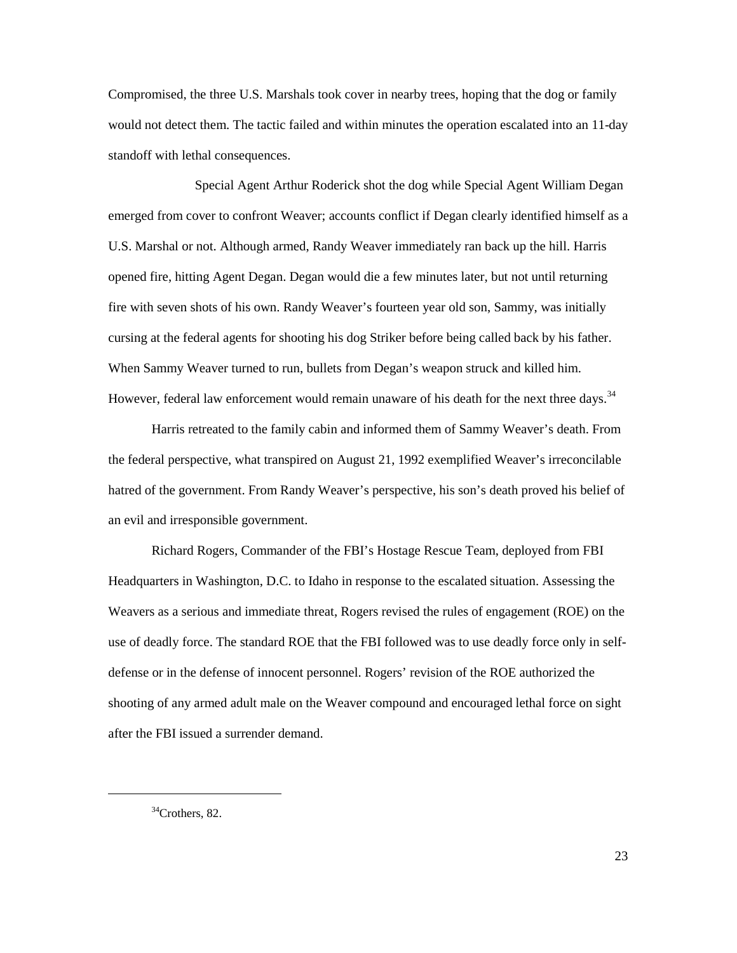Compromised, the three U.S. Marshals took cover in nearby trees, hoping that the dog or family would not detect them. The tactic failed and within minutes the operation escalated into an 11-day standoff with lethal consequences.

 opened fire, hitting Agent Degan. Degan would die a few minutes later, but not until returning fire with seven shots of his own. Randy Weaver's fourteen year old son, Sammy, was initially cursing at the federal agents for shooting his dog Striker before being called back by his father. However, federal law enforcement would remain unaware of his death for the next three days.<sup>34</sup> Special Agent Arthur Roderick shot the dog while Special Agent William Degan emerged from cover to confront Weaver; accounts conflict if Degan clearly identified himself as a U.S. Marshal or not. Although armed, Randy Weaver immediately ran back up the hill. Harris When Sammy Weaver turned to run, bullets from Degan's weapon struck and killed him.

 Harris retreated to the family cabin and informed them of Sammy Weaver's death. From the federal perspective, what transpired on August 21, 1992 exemplified Weaver's irreconcilable hatred of the government. From Randy Weaver's perspective, his son's death proved his belief of an evil and irresponsible government.

Richard Rogers, Commander of the FBI's Hostage Rescue Team, deployed from FBI Headquarters in Washington, D.C. to Idaho in response to the escalated situation. Assessing the Weavers as a serious and immediate threat, Rogers revised the rules of engagement (ROE) on the use of deadly force. The standard ROE that the FBI followed was to use deadly force only in selfdefense or in the defense of innocent personnel. Rogers' revision of the ROE authorized the shooting of any armed adult male on the Weaver compound and encouraged lethal force on sight after the FBI issued a surrender demand.

<span id="page-28-0"></span> $34$ Crothers, 82.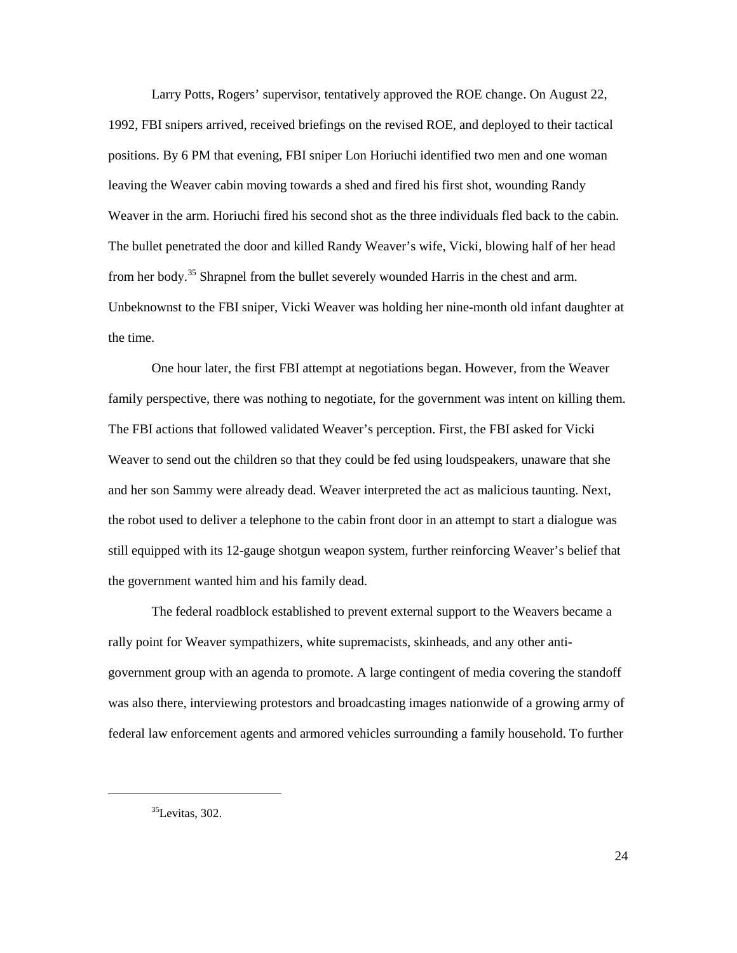1992, FBI snipers arrived, received briefings on the revised ROE, and deployed to their tactical leaving the Weaver cabin moving towards a shed and fired his first shot, wounding Randy Weaver in the arm. Horiuchi fired his second shot as the three individuals fled back to the cabin. from her body.<sup>[35](#page-29-0)</sup> Shrapnel from the bullet severely wounded Harris in the chest and arm. Larry Potts, Rogers' supervisor, tentatively approved the ROE change. On August 22, positions. By 6 PM that evening, FBI sniper Lon Horiuchi identified two men and one woman The bullet penetrated the door and killed Randy Weaver's wife, Vicki, blowing half of her head Unbeknownst to the FBI sniper, Vicki Weaver was holding her nine-month old infant daughter at the time.

 The FBI actions that followed validated Weaver's perception. First, the FBI asked for Vicki Weaver to send out the children so that they could be fed using loudspeakers, unaware that she the robot used to deliver a telephone to the cabin front door in an attempt to start a dialogue was still equipped with its 12-gauge shotgun weapon system, further reinforcing Weaver's belief that One hour later, the first FBI attempt at negotiations began. However, from the Weaver family perspective, there was nothing to negotiate, for the government was intent on killing them. and her son Sammy were already dead. Weaver interpreted the act as malicious taunting. Next, the government wanted him and his family dead.

 was also there, interviewing protestors and broadcasting images nationwide of a growing army of The federal roadblock established to prevent external support to the Weavers became a rally point for Weaver sympathizers, white supremacists, skinheads, and any other antigovernment group with an agenda to promote. A large contingent of media covering the standoff federal law enforcement agents and armored vehicles surrounding a family household. To further

<span id="page-29-0"></span> $35$ Levitas, 302.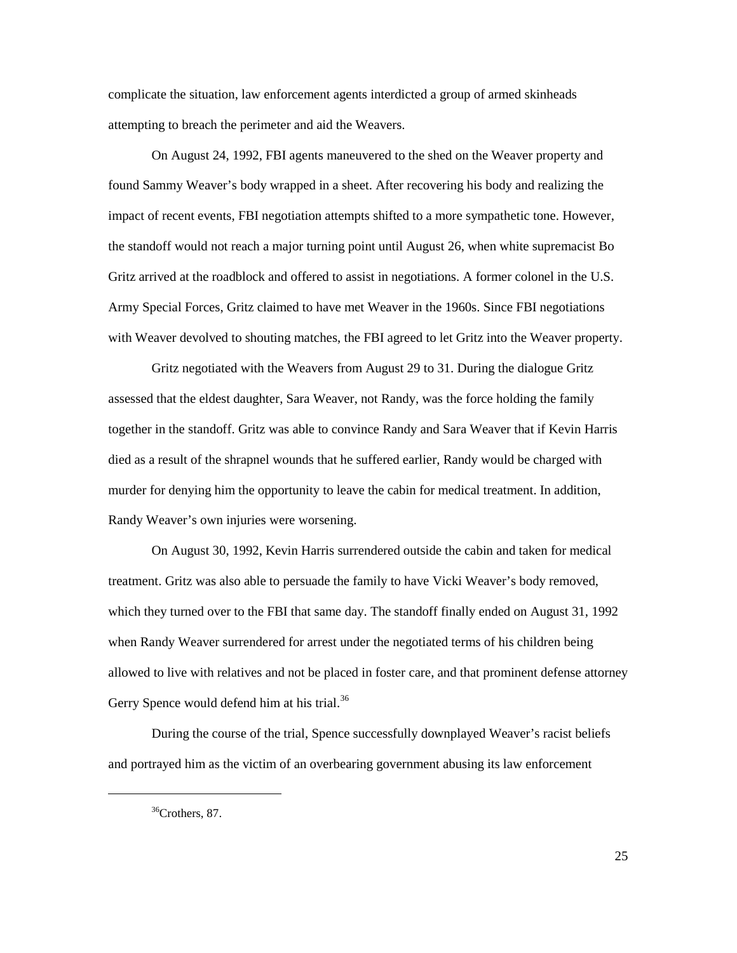attempting to breach the perimeter and aid the Weavers. complicate the situation, law enforcement agents interdicted a group of armed skinheads

 Gritz arrived at the roadblock and offered to assist in negotiations. A former colonel in the U.S. On August 24, 1992, FBI agents maneuvered to the shed on the Weaver property and found Sammy Weaver's body wrapped in a sheet. After recovering his body and realizing the impact of recent events, FBI negotiation attempts shifted to a more sympathetic tone. However, the standoff would not reach a major turning point until August 26, when white supremacist Bo Army Special Forces, Gritz claimed to have met Weaver in the 1960s. Since FBI negotiations

with Weaver devolved to shouting matches, the FBI agreed to let Gritz into the Weaver property.<br>Gritz negotiated with the Weavers from August 29 to 31. During the dialogue Gritz assessed that the eldest daughter, Sara Weaver, not Randy, was the force holding the family died as a result of the shrapnel wounds that he suffered earlier, Randy would be charged with together in the standoff. Gritz was able to convince Randy and Sara Weaver that if Kevin Harris murder for denying him the opportunity to leave the cabin for medical treatment. In addition, Randy Weaver's own injuries were worsening.

Gerry Spence would defend him at his trial.<sup>36</sup> On August 30, 1992, Kevin Harris surrendered outside the cabin and taken for medical treatment. Gritz was also able to persuade the family to have Vicki Weaver's body removed, which they turned over to the FBI that same day. The standoff finally ended on August 31, 1992 when Randy Weaver surrendered for arrest under the negotiated terms of his children being allowed to live with relatives and not be placed in foster care, and that prominent defense attorney

During the course of the trial, Spence successfully downplayed Weaver's racist beliefs and portrayed him as the victim of an overbearing government abusing its law enforcement

<span id="page-30-0"></span> $\overline{a}$ 

 $36$ Crothers, 87.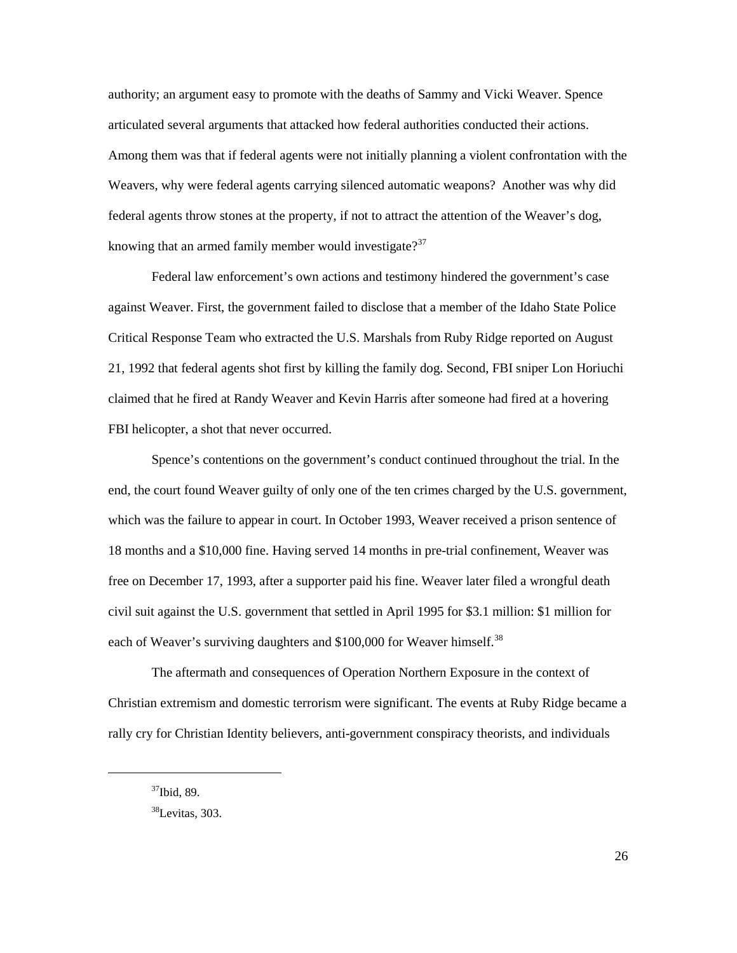articulated several arguments that attacked how federal authorities conducted their actions. federal agents throw stones at the property, if not to attract the attention of the Weaver's dog, knowing that an armed family member would investigate?<sup>[37](#page-31-0)</sup> authority; an argument easy to promote with the deaths of Sammy and Vicki Weaver. Spence Among them was that if federal agents were not initially planning a violent confrontation with the Weavers, why were federal agents carrying silenced automatic weapons? Another was why did

 21, 1992 that federal agents shot first by killing the family dog. Second, FBI sniper Lon Horiuchi FBI helicopter, a shot that never occurred. Federal law enforcement's own actions and testimony hindered the government's case against Weaver. First, the government failed to disclose that a member of the Idaho State Police Critical Response Team who extracted the U.S. Marshals from Ruby Ridge reported on August claimed that he fired at Randy Weaver and Kevin Harris after someone had fired at a hovering

 free on December 17, 1993, after a supporter paid his fine. Weaver later filed a wrongful death each of Weaver's surviving daughters and \$100,000 for Weaver himself.<sup>38</sup> Spence's contentions on the government's conduct continued throughout the trial. In the end, the court found Weaver guilty of only one of the ten crimes charged by the U.S. government, which was the failure to appear in court. In October 1993, Weaver received a prison sentence of 18 months and a \$10,000 fine. Having served 14 months in pre-trial confinement, Weaver was civil suit against the U.S. government that settled in April 1995 for \$3.1 million: \$1 million for

The aftermath and consequences of Operation Northern Exposure in the context of Christian extremism and domestic terrorism were significant. The events at Ruby Ridge became a rally cry for Christian Identity believers, anti-government conspiracy theorists, and individuals

<span id="page-31-1"></span><span id="page-31-0"></span><sup>37</sup>Ibid, 89.

 $38$ Levitas, 303.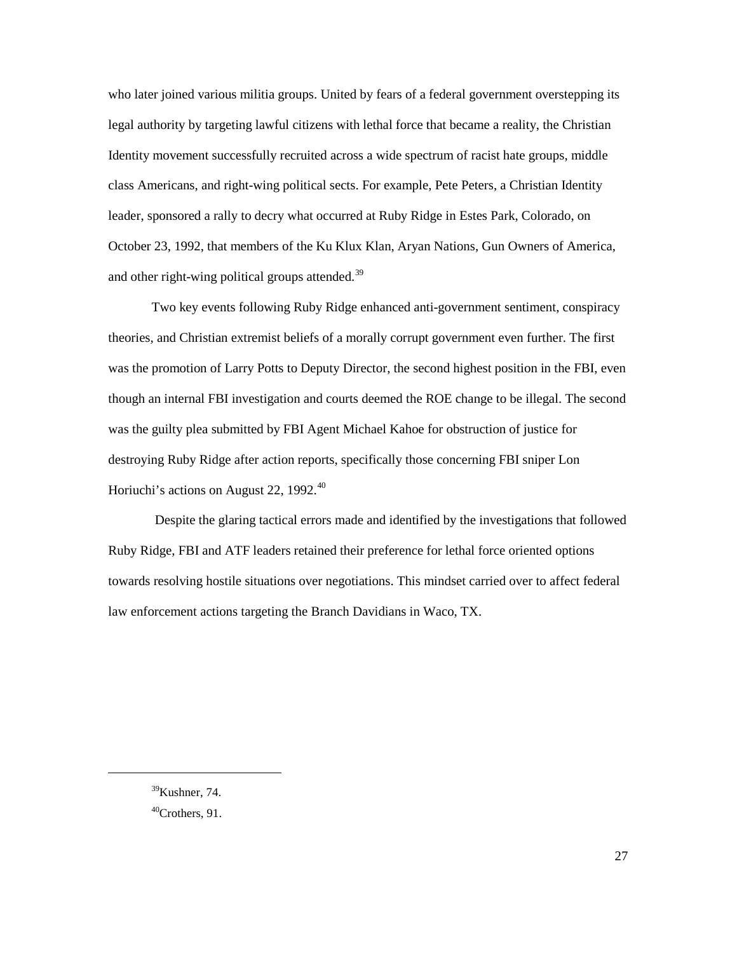and other right-wing political groups attended.<sup>[39](#page-32-0)</sup> who later joined various militia groups. United by fears of a federal government overstepping its legal authority by targeting lawful citizens with lethal force that became a reality, the Christian Identity movement successfully recruited across a wide spectrum of racist hate groups, middle class Americans, and right-wing political sects. For example, Pete Peters, a Christian Identity leader, sponsored a rally to decry what occurred at Ruby Ridge in Estes Park, Colorado, on October 23, 1992, that members of the Ku Klux Klan, Aryan Nations, Gun Owners of America,

 theories, and Christian extremist beliefs of a morally corrupt government even further. The first was the guilty plea submitted by FBI Agent Michael Kahoe for obstruction of justice for Two key events following Ruby Ridge enhanced anti-government sentiment, conspiracy was the promotion of Larry Potts to Deputy Director, the second highest position in the FBI, even though an internal FBI investigation and courts deemed the ROE change to be illegal. The second destroying Ruby Ridge after action reports, specifically those concerning FBI sniper Lon Horiuchi's actions on August 22, 1992.<sup>40</sup>

 Ruby Ridge, FBI and ATF leaders retained their preference for lethal force oriented options law enforcement actions targeting the Branch Davidians in Waco, TX. Despite the glaring tactical errors made and identified by the investigations that followed towards resolving hostile situations over negotiations. This mindset carried over to affect federal

<span id="page-32-0"></span><sup>39</sup>Kushner, 74.

<span id="page-32-1"></span> $^{40}$ Crothers, 91.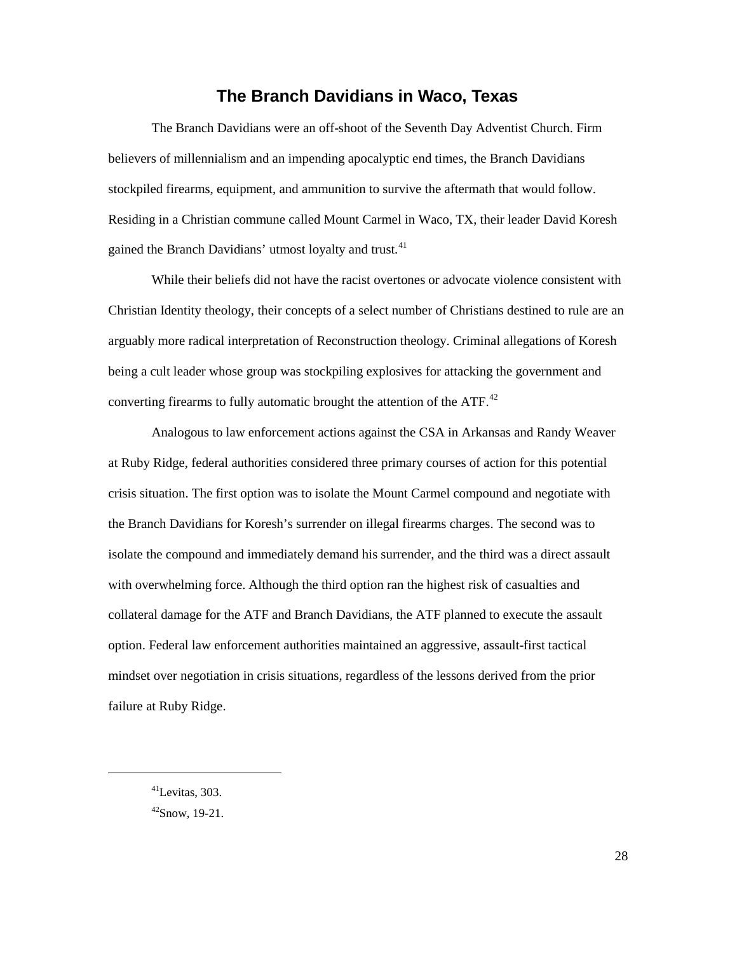### **The Branch Davidians in Waco, Texas**

<span id="page-33-0"></span> Residing in a Christian commune called Mount Carmel in Waco, TX, their leader David Koresh The Branch Davidians were an off-shoot of the Seventh Day Adventist Church. Firm believers of millennialism and an impending apocalyptic end times, the Branch Davidians stockpiled firearms, equipment, and ammunition to survive the aftermath that would follow. gained the Branch Davidians' utmost loyalty and trust.<sup>[41](#page-33-1)</sup>

converting firearms to fully automatic brought the attention of the ATF. $^{42}$ While their beliefs did not have the racist overtones or advocate violence consistent with Christian Identity theology, their concepts of a select number of Christians destined to rule are an arguably more radical interpretation of Reconstruction theology. Criminal allegations of Koresh being a cult leader whose group was stockpiling explosives for attacking the government and

 isolate the compound and immediately demand his surrender, and the third was a direct assault collateral damage for the ATF and Branch Davidians, the ATF planned to execute the assault Analogous to law enforcement actions against the CSA in Arkansas and Randy Weaver at Ruby Ridge, federal authorities considered three primary courses of action for this potential crisis situation. The first option was to isolate the Mount Carmel compound and negotiate with the Branch Davidians for Koresh's surrender on illegal firearms charges. The second was to with overwhelming force. Although the third option ran the highest risk of casualties and option. Federal law enforcement authorities maintained an aggressive, assault-first tactical mindset over negotiation in crisis situations, regardless of the lessons derived from the prior failure at Ruby Ridge.

<span id="page-33-2"></span><span id="page-33-1"></span> $^{41}$ Levitas, 303.  $42$ Snow, 19-21.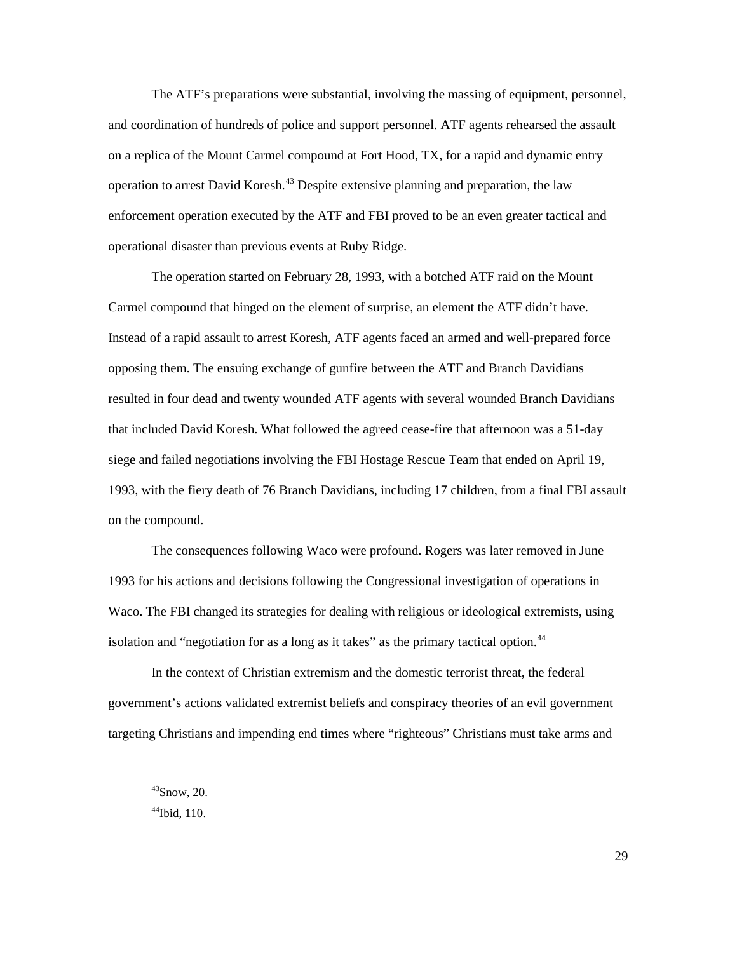on a replica of the Mount Carmel compound at Fort Hood, TX, for a rapid and dynamic entry operation to arrest David Koresh.<sup>[43](#page-34-0)</sup> Despite extensive planning and preparation, the law enforcement operation executed by the ATF and FBI proved to be an even greater tactical and The ATF's preparations were substantial, involving the massing of equipment, personnel, and coordination of hundreds of police and support personnel. ATF agents rehearsed the assault operational disaster than previous events at Ruby Ridge.

The operation started on February 28, 1993, with a botched ATF raid on the Mount Carmel compound that hinged on the element of surprise, an element the ATF didn't have. Instead of a rapid assault to arrest Koresh, ATF agents faced an armed and well-prepared force opposing them. The ensuing exchange of gunfire between the ATF and Branch Davidians resulted in four dead and twenty wounded ATF agents with several wounded Branch Davidians that included David Koresh. What followed the agreed cease-fire that afternoon was a 51-day siege and failed negotiations involving the FBI Hostage Rescue Team that ended on April 19, 1993, with the fiery death of 76 Branch Davidians, including 17 children, from a final FBI assault on the compound.

 The consequences following Waco were profound. Rogers was later removed in June Waco. The FBI changed its strategies for dealing with religious or ideological extremists, using isolation and "negotiation for as a long as it takes" as the primary tactical option.<sup>[44](#page-34-1)</sup> 1993 for his actions and decisions following the Congressional investigation of operations in

 government's actions validated extremist beliefs and conspiracy theories of an evil government In the context of Christian extremism and the domestic terrorist threat, the federal targeting Christians and impending end times where "righteous" Christians must take arms and

<span id="page-34-0"></span> $43$ Snow, 20.

<span id="page-34-1"></span> $44$ Ibid, 110.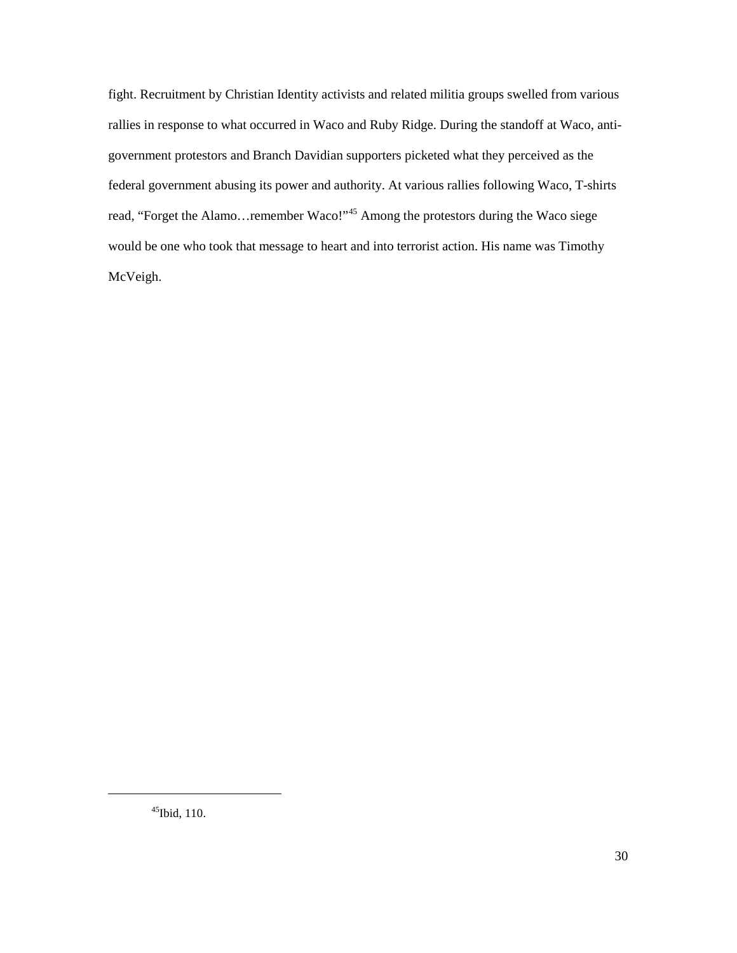rallies in response to what occurred in Waco and Ruby Ridge. During the standoff at Waco, anti- would be one who took that message to heart and into terrorist action. His name was Timothy McVeigh. fight. Recruitment by Christian Identity activists and related militia groups swelled from various government protestors and Branch Davidian supporters picketed what they perceived as the federal government abusing its power and authority. At various rallies following Waco, T-shirts read, "Forget the Alamo...remember Waco!"<sup>45</sup> Among the protestors during the Waco siege McVeigh.<br><sup>45</sup>Ibid, 110.

<span id="page-35-0"></span> $45$ Ibid, 110.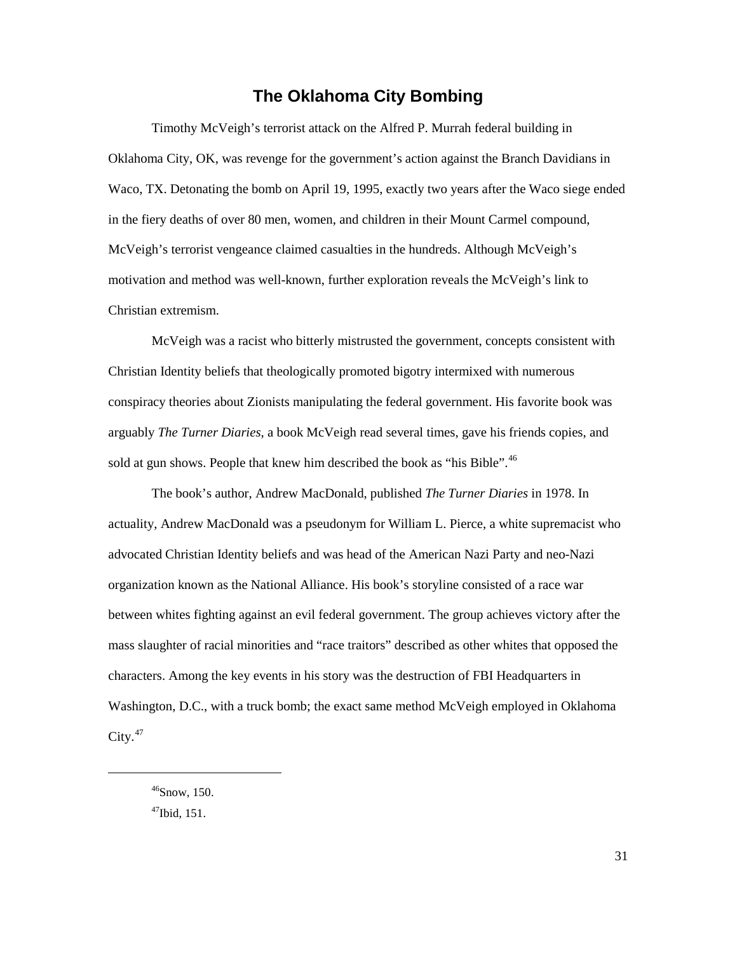### **The Oklahoma City Bombing**

<span id="page-36-0"></span> Waco, TX. Detonating the bomb on April 19, 1995, exactly two years after the Waco siege ended motivation and method was well-known, further exploration reveals the McVeigh's link to Timothy McVeigh's terrorist attack on the Alfred P. Murrah federal building in Oklahoma City, OK, was revenge for the government's action against the Branch Davidians in in the fiery deaths of over 80 men, women, and children in their Mount Carmel compound, McVeigh's terrorist vengeance claimed casualties in the hundreds. Although McVeigh's Christian extremism.

sold at gun shows. People that knew him described the book as "his Bible".<sup>46</sup> McVeigh was a racist who bitterly mistrusted the government, concepts consistent with Christian Identity beliefs that theologically promoted bigotry intermixed with numerous conspiracy theories about Zionists manipulating the federal government. His favorite book was arguably *The Turner Diaries*, a book McVeigh read several times, gave his friends copies, and

 organization known as the National Alliance. His book's storyline consisted of a race war between whites fighting against an evil federal government. The group achieves victory after the  $\text{City.}^{47}$  $\text{City.}^{47}$  $\text{City.}^{47}$ The book's author, Andrew MacDonald, published *The Turner Diaries* in 1978. In actuality, Andrew MacDonald was a pseudonym for William L. Pierce, a white supremacist who advocated Christian Identity beliefs and was head of the American Nazi Party and neo-Nazi mass slaughter of racial minorities and "race traitors" described as other whites that opposed the characters. Among the key events in his story was the destruction of FBI Headquarters in Washington, D.C., with a truck bomb; the exact same method McVeigh employed in Oklahoma

<span id="page-36-2"></span><span id="page-36-1"></span> $46$ Snow, 150.  $47$ Ibid, 151.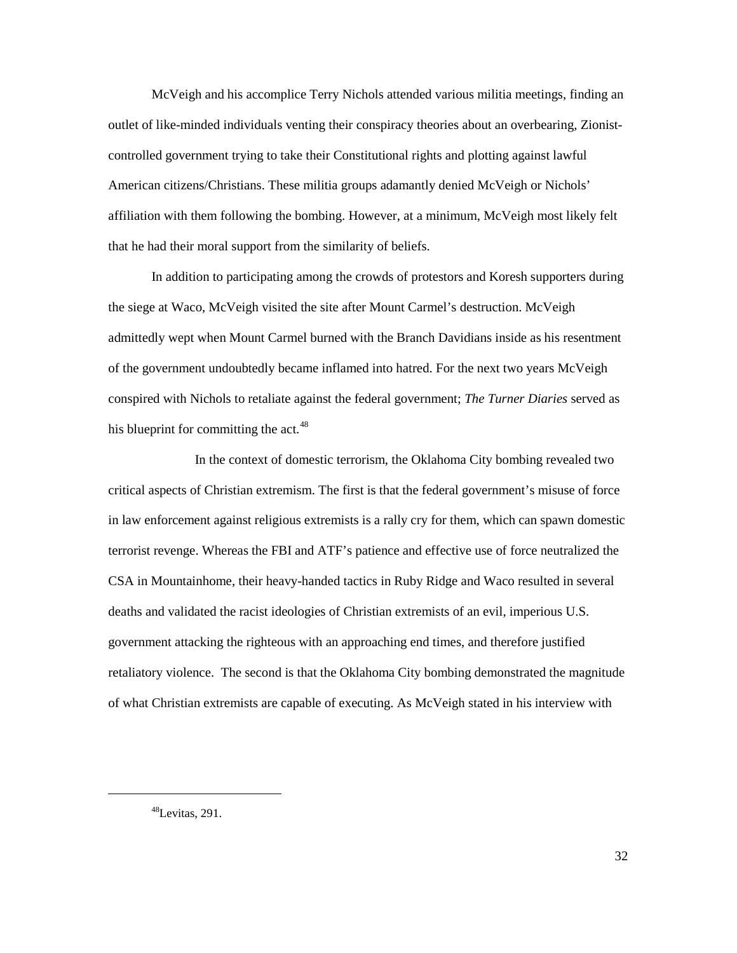controlled government trying to take their Constitutional rights and plotting against lawful that he had their moral support from the similarity of beliefs. McVeigh and his accomplice Terry Nichols attended various militia meetings, finding an outlet of like-minded individuals venting their conspiracy theories about an overbearing, Zionist-American citizens/Christians. These militia groups adamantly denied McVeigh or Nichols' affiliation with them following the bombing. However, at a minimum, McVeigh most likely felt

 of the government undoubtedly became inflamed into hatred. For the next two years McVeigh his blueprint for committing the act.<sup>[48](#page-37-0)</sup> In addition to participating among the crowds of protestors and Koresh supporters during the siege at Waco, McVeigh visited the site after Mount Carmel's destruction. McVeigh admittedly wept when Mount Carmel burned with the Branch Davidians inside as his resentment conspired with Nichols to retaliate against the federal government; *The Turner Diaries* served as

 critical aspects of Christian extremism. The first is that the federal government's misuse of force in law enforcement against religious extremists is a rally cry for them, which can spawn domestic In the context of domestic terrorism, the Oklahoma City bombing revealed two terrorist revenge. Whereas the FBI and ATF's patience and effective use of force neutralized the CSA in Mountainhome, their heavy-handed tactics in Ruby Ridge and Waco resulted in several deaths and validated the racist ideologies of Christian extremists of an evil, imperious U.S. government attacking the righteous with an approaching end times, and therefore justified retaliatory violence. The second is that the Oklahoma City bombing demonstrated the magnitude of what Christian extremists are capable of executing. As McVeigh stated in his interview with

<span id="page-37-0"></span> $48$ Levitas, 291.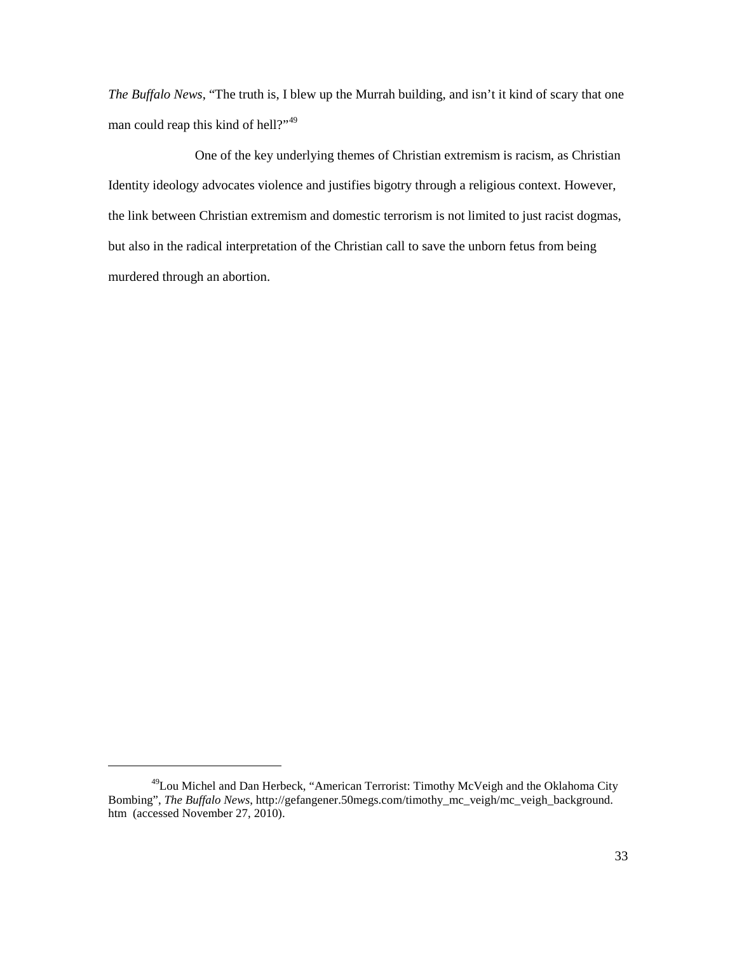*The Buffalo News*, "The truth is, I blew up the Murrah building, and isn't it kind of scary that one man could reap this kind of hell?"<sup>[49](#page-38-0)</sup>

 the link between Christian extremism and domestic terrorism is not limited to just racist dogmas, but also in the radical interpretation of the Christian call to save the unborn fetus from being One of the key underlying themes of Christian extremism is racism, as Christian Identity ideology advocates violence and justifies bigotry through a religious context. However, murdered through an abortion.

<span id="page-38-0"></span> htm (accessed November 27, 2010). 49Lou Michel and Dan Herbeck, "American Terrorist: Timothy McVeigh and the Oklahoma City Bombing", *The Buffalo News*, http://gefangener.50megs.com/timothy\_mc\_veigh/mc\_veigh\_background.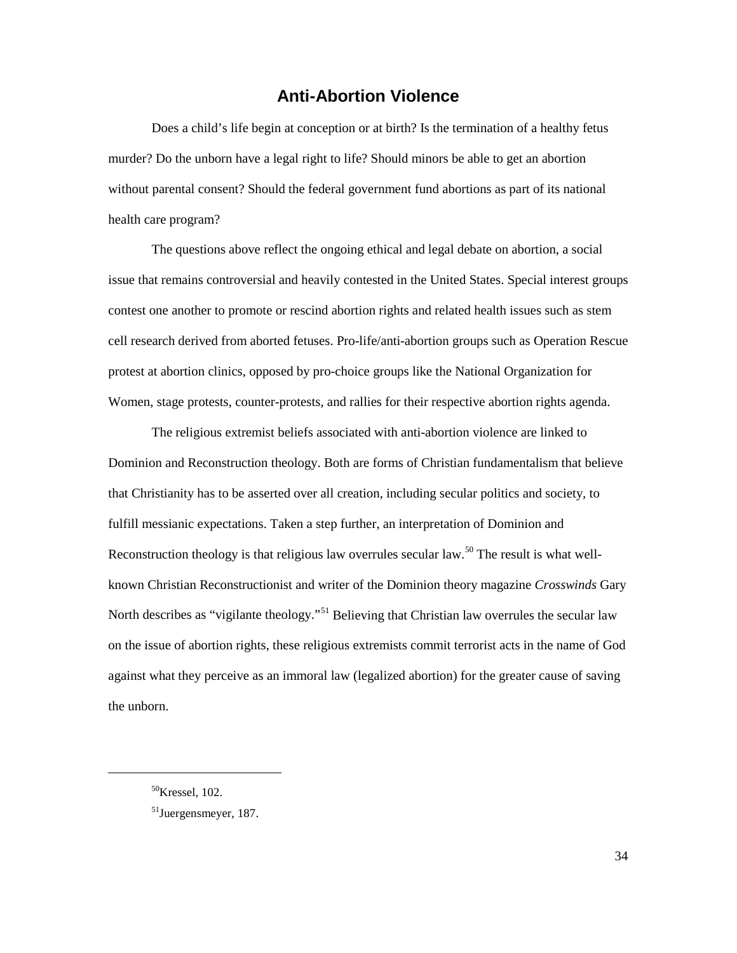### **Anti-Abortion Violence**

<span id="page-39-0"></span> murder? Do the unborn have a legal right to life? Should minors be able to get an abortion without parental consent? Should the federal government fund abortions as part of its national Does a child's life begin at conception or at birth? Is the termination of a healthy fetus health care program?

 The questions above reflect the ongoing ethical and legal debate on abortion, a social contest one another to promote or rescind abortion rights and related health issues such as stem issue that remains controversial and heavily contested in the United States. Special interest groups cell research derived from aborted fetuses. Pro-life/anti-abortion groups such as Operation Rescue protest at abortion clinics, opposed by pro-choice groups like the National Organization for Women, stage protests, counter-protests, and rallies for their respective abortion rights agenda.

 known Christian Reconstructionist and writer of the Dominion theory magazine *Crosswinds* Gary against what they perceive as an immoral law (legalized abortion) for the greater cause of saving the unborn. The religious extremist beliefs associated with anti-abortion violence are linked to Dominion and Reconstruction theology. Both are forms of Christian fundamentalism that believe that Christianity has to be asserted over all creation, including secular politics and society, to fulfill messianic expectations. Taken a step further, an interpretation of Dominion and Reconstruction theology is that religious law overrules secular law.<sup>[50](#page-39-1)</sup> The result is what well-North describes as "vigilante theology."<sup>51</sup> Believing that Christian law overrules the secular law on the issue of abortion rights, these religious extremists commit terrorist acts in the name of God

<span id="page-39-1"></span><sup>50</sup>Kressel, 102.

<span id="page-39-2"></span><sup>51</sup>Juergensmeyer, 187.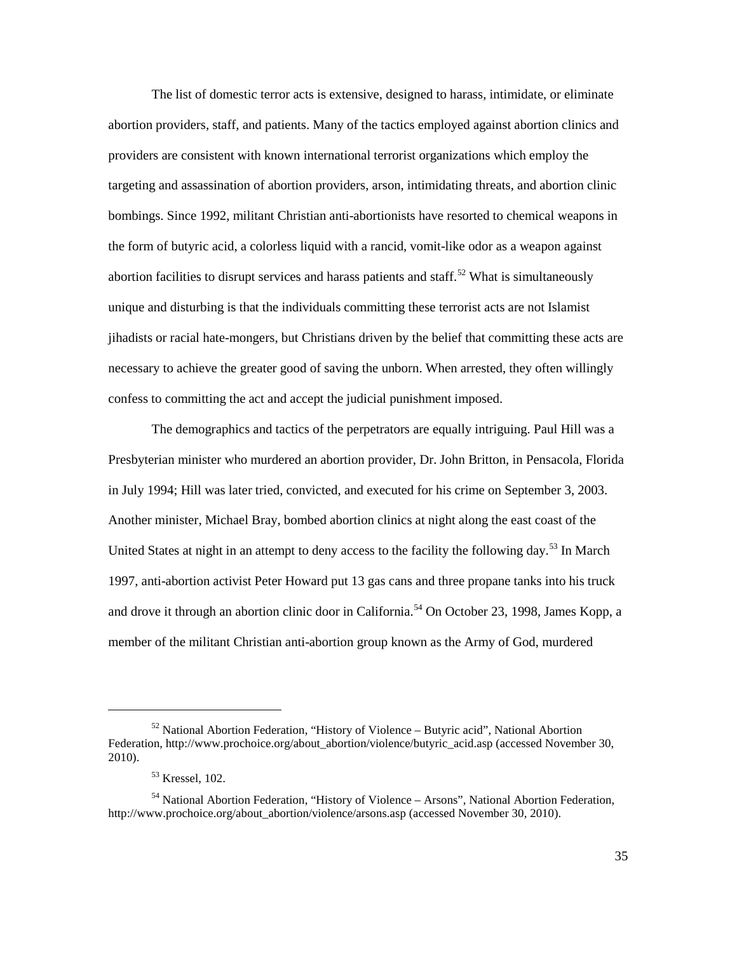The list of domestic terror acts is extensive, designed to harass, intimidate, or eliminate abortion providers, staff, and patients. Many of the tactics employed against abortion clinics and necessary to achieve the greater good of saving the unborn. When arrested, they often willingly providers are consistent with known international terrorist organizations which employ the targeting and assassination of abortion providers, arson, intimidating threats, and abortion clinic bombings. Since 1992, militant Christian anti-abortionists have resorted to chemical weapons in the form of butyric acid, a colorless liquid with a rancid, vomit-like odor as a weapon against abortion facilities to disrupt services and harass patients and staff.<sup>[52](#page-40-0)</sup> What is simultaneously unique and disturbing is that the individuals committing these terrorist acts are not Islamist jihadists or racial hate-mongers, but Christians driven by the belief that committing these acts are confess to committing the act and accept the judicial punishment imposed.

 The demographics and tactics of the perpetrators are equally intriguing. Paul Hill was a in July 1994; Hill was later tried, convicted, and executed for his crime on September 3, 2003. and drove it through an abortion clinic door in California.<sup>[54](#page-40-2)</sup> On October 23, 1998, James Kopp, a Presbyterian minister who murdered an abortion provider, Dr. John Britton, in Pensacola, Florida Another minister, Michael Bray, bombed abortion clinics at night along the east coast of the United States at night in an attempt to deny access to the facility the following day.<sup>53</sup> In March 1997, anti-abortion activist Peter Howard put 13 gas cans and three propane tanks into his truck member of the militant Christian anti-abortion group known as the Army of God, murdered

<span id="page-40-0"></span> $52$  National Abortion Federation, "History of Violence – Butyric acid", National Abortion Federation, http://www.prochoice.org/about\_abortion/violence/butyric\_acid.asp (accessed November 30, 2010).

<sup>53</sup> Kressel, 102.

<span id="page-40-2"></span><span id="page-40-1"></span><sup>&</sup>lt;sup>54</sup> National Abortion Federation, "History of Violence – Arsons", National Abortion Federation, http://www.prochoice.org/about\_abortion/violence/arsons.asp (accessed November 30, 2010).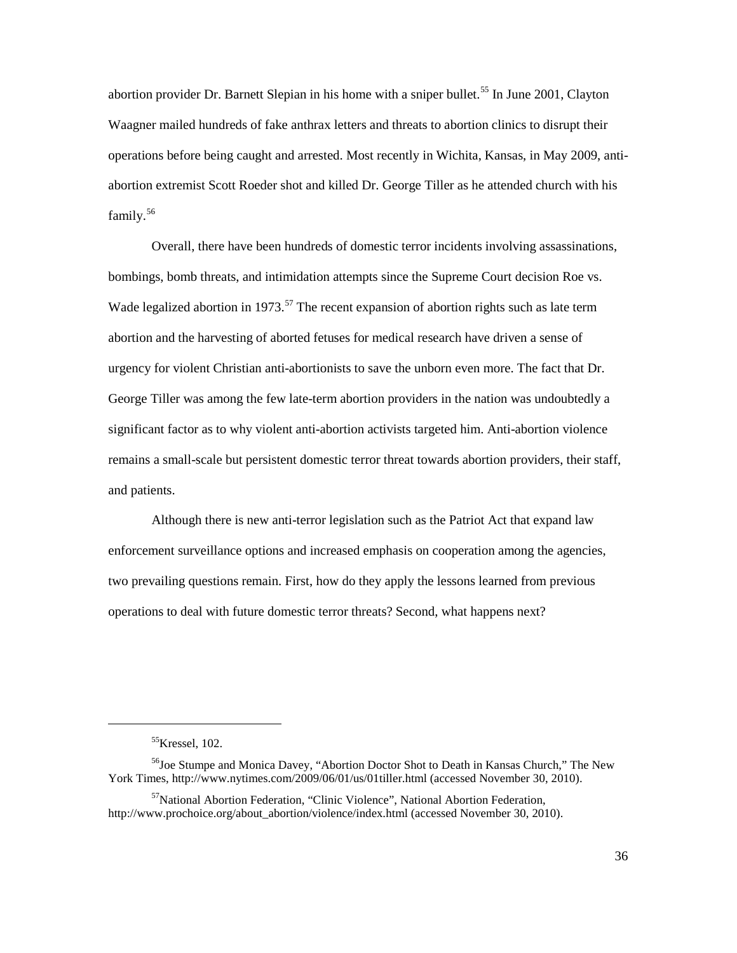operations before being caught and arrested. Most recently in Wichita, Kansas, in May 2009, antifamily.<sup>56</sup> abortion provider Dr. Barnett Slepian in his home with a sniper bullet.<sup>[55](#page-41-0)</sup> In June 2001, Clayton Waagner mailed hundreds of fake anthrax letters and threats to abortion clinics to disrupt their abortion extremist Scott Roeder shot and killed Dr. George Tiller as he attended church with his

Wade legalized abortion in 1973.<sup>57</sup> The recent expansion of abortion rights such as late term urgency for violent Christian anti-abortionists to save the unborn even more. The fact that Dr. remains a small-scale but persistent domestic terror threat towards abortion providers, their staff, Overall, there have been hundreds of domestic terror incidents involving assassinations, bombings, bomb threats, and intimidation attempts since the Supreme Court decision Roe vs. abortion and the harvesting of aborted fetuses for medical research have driven a sense of George Tiller was among the few late-term abortion providers in the nation was undoubtedly a significant factor as to why violent anti-abortion activists targeted him. Anti-abortion violence and patients.

 two prevailing questions remain. First, how do they apply the lessons learned from previous operations to deal with future domestic terror threats? Second, what happens next? Although there is new anti-terror legislation such as the Patriot Act that expand law enforcement surveillance options and increased emphasis on cooperation among the agencies,

 $55$ Kressel, 102.

<span id="page-41-1"></span><span id="page-41-0"></span><sup>&</sup>lt;sup>56</sup>Joe Stumpe and Monica Davey, "Abortion Doctor Shot to Death in Kansas Church," The New York Times, http://www.nytimes.com/2009/06/01/us/01tiller.html (accessed November 30, 2010).

<span id="page-41-2"></span><sup>&</sup>lt;sup>57</sup>National Abortion Federation, "Clinic Violence", National Abortion Federation, http://www.prochoice.org/about\_abortion/violence/index.html (accessed November 30, 2010).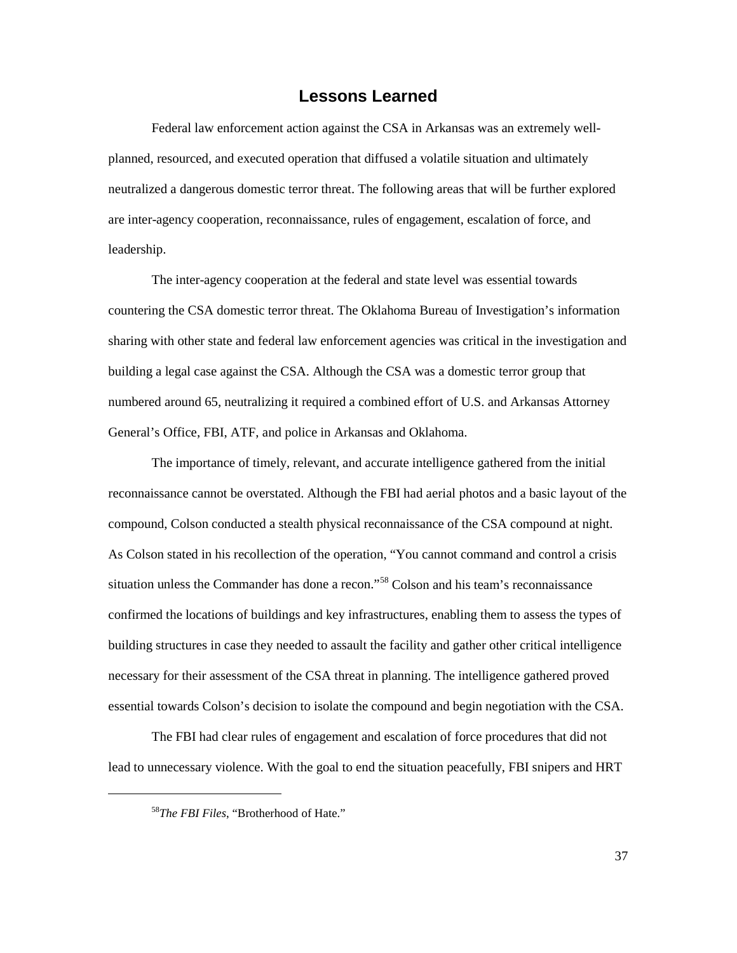#### **Lessons Learned**

<span id="page-42-0"></span> neutralized a dangerous domestic terror threat. The following areas that will be further explored Federal law enforcement action against the CSA in Arkansas was an extremely wellplanned, resourced, and executed operation that diffused a volatile situation and ultimately are inter-agency cooperation, reconnaissance, rules of engagement, escalation of force, and leadership.

 countering the CSA domestic terror threat. The Oklahoma Bureau of Investigation's information sharing with other state and federal law enforcement agencies was critical in the investigation and building a legal case against the CSA. Although the CSA was a domestic terror group that numbered around 65, neutralizing it required a combined effort of U.S. and Arkansas Attorney The inter-agency cooperation at the federal and state level was essential towards General's Office, FBI, ATF, and police in Arkansas and Oklahoma.

 reconnaissance cannot be overstated. Although the FBI had aerial photos and a basic layout of the compound, Colson conducted a stealth physical reconnaissance of the CSA compound at night. As Colson stated in his recollection of the operation, "You cannot command and control a crisis building structures in case they needed to assault the facility and gather other critical intelligence The importance of timely, relevant, and accurate intelligence gathered from the initial situation unless the Commander has done a recon."[58](#page-42-1) Colson and his team's reconnaissance confirmed the locations of buildings and key infrastructures, enabling them to assess the types of necessary for their assessment of the CSA threat in planning. The intelligence gathered proved essential towards Colson's decision to isolate the compound and begin negotiation with the CSA.

 The FBI had clear rules of engagement and escalation of force procedures that did not lead to unnecessary violence. With the goal to end the situation peacefully, FBI snipers and HRT

<span id="page-42-1"></span> $\overline{a}$ 

<sup>58</sup>*The FBI Files*, "Brotherhood of Hate."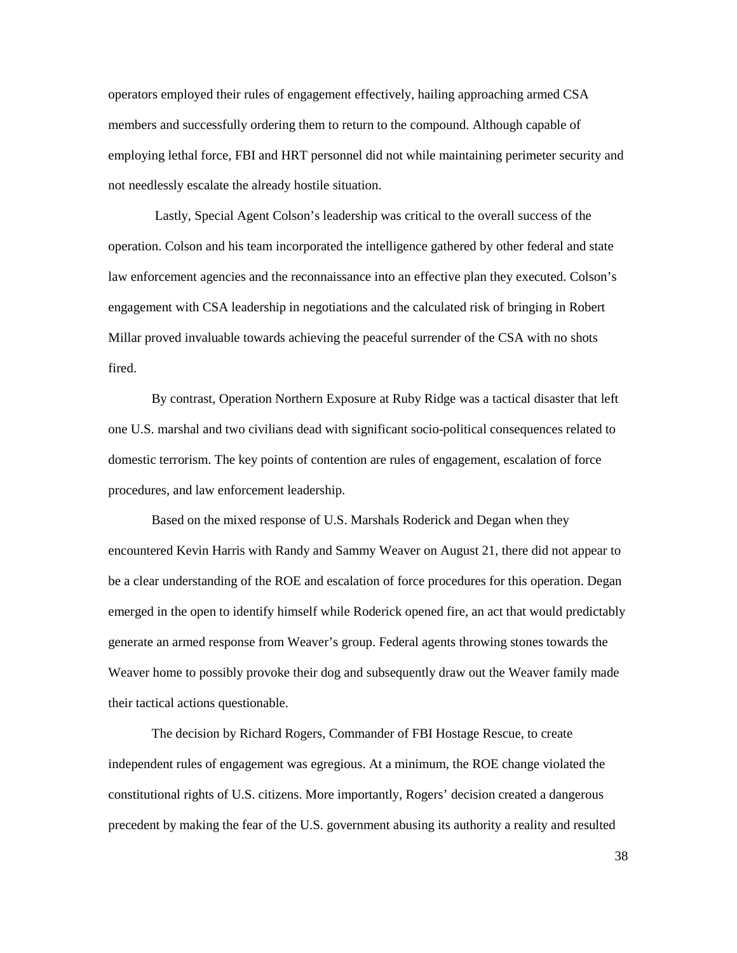operators employed their rules of engagement effectively, hailing approaching armed CSA members and successfully ordering them to return to the compound. Although capable of employing lethal force, FBI and HRT personnel did not while maintaining perimeter security and not needlessly escalate the already hostile situation.

 Lastly, Special Agent Colson's leadership was critical to the overall success of the operation. Colson and his team incorporated the intelligence gathered by other federal and state law enforcement agencies and the reconnaissance into an effective plan they executed. Colson's engagement with CSA leadership in negotiations and the calculated risk of bringing in Robert Millar proved invaluable towards achieving the peaceful surrender of the CSA with no shots fired.

By contrast, Operation Northern Exposure at Ruby Ridge was a tactical disaster that left one U.S. marshal and two civilians dead with significant socio-political consequences related to domestic terrorism. The key points of contention are rules of engagement, escalation of force procedures, and law enforcement leadership.

 be a clear understanding of the ROE and escalation of force procedures for this operation. Degan Based on the mixed response of U.S. Marshals Roderick and Degan when they encountered Kevin Harris with Randy and Sammy Weaver on August 21, there did not appear to emerged in the open to identify himself while Roderick opened fire, an act that would predictably generate an armed response from Weaver's group. Federal agents throwing stones towards the Weaver home to possibly provoke their dog and subsequently draw out the Weaver family made their tactical actions questionable.

 constitutional rights of U.S. citizens. More importantly, Rogers' decision created a dangerous The decision by Richard Rogers, Commander of FBI Hostage Rescue, to create independent rules of engagement was egregious. At a minimum, the ROE change violated the precedent by making the fear of the U.S. government abusing its authority a reality and resulted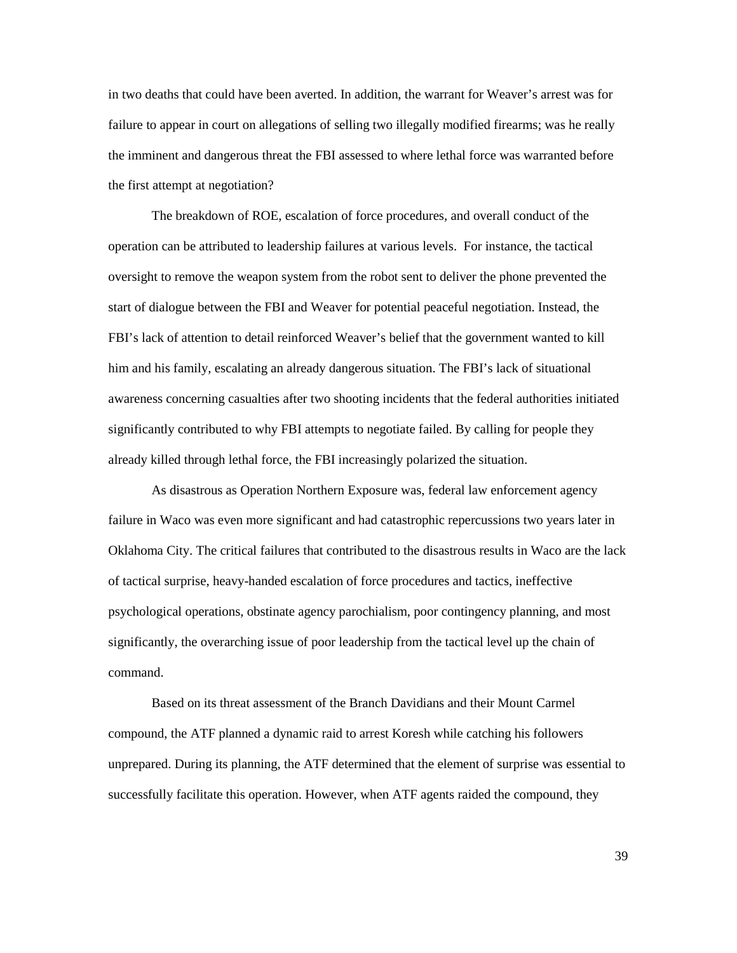failure to appear in court on allegations of selling two illegally modified firearms; was he really the first attempt at negotiation? in two deaths that could have been averted. In addition, the warrant for Weaver's arrest was for the imminent and dangerous threat the FBI assessed to where lethal force was warranted before

 The breakdown of ROE, escalation of force procedures, and overall conduct of the FBI's lack of attention to detail reinforced Weaver's belief that the government wanted to kill significantly contributed to why FBI attempts to negotiate failed. By calling for people they operation can be attributed to leadership failures at various levels. For instance, the tactical oversight to remove the weapon system from the robot sent to deliver the phone prevented the start of dialogue between the FBI and Weaver for potential peaceful negotiation. Instead, the him and his family, escalating an already dangerous situation. The FBI's lack of situational awareness concerning casualties after two shooting incidents that the federal authorities initiated already killed through lethal force, the FBI increasingly polarized the situation.

 failure in Waco was even more significant and had catastrophic repercussions two years later in Oklahoma City. The critical failures that contributed to the disastrous results in Waco are the lack significantly, the overarching issue of poor leadership from the tactical level up the chain of As disastrous as Operation Northern Exposure was, federal law enforcement agency of tactical surprise, heavy-handed escalation of force procedures and tactics, ineffective psychological operations, obstinate agency parochialism, poor contingency planning, and most command.

 Based on its threat assessment of the Branch Davidians and their Mount Carmel compound, the ATF planned a dynamic raid to arrest Koresh while catching his followers unprepared. During its planning, the ATF determined that the element of surprise was essential to successfully facilitate this operation. However, when ATF agents raided the compound, they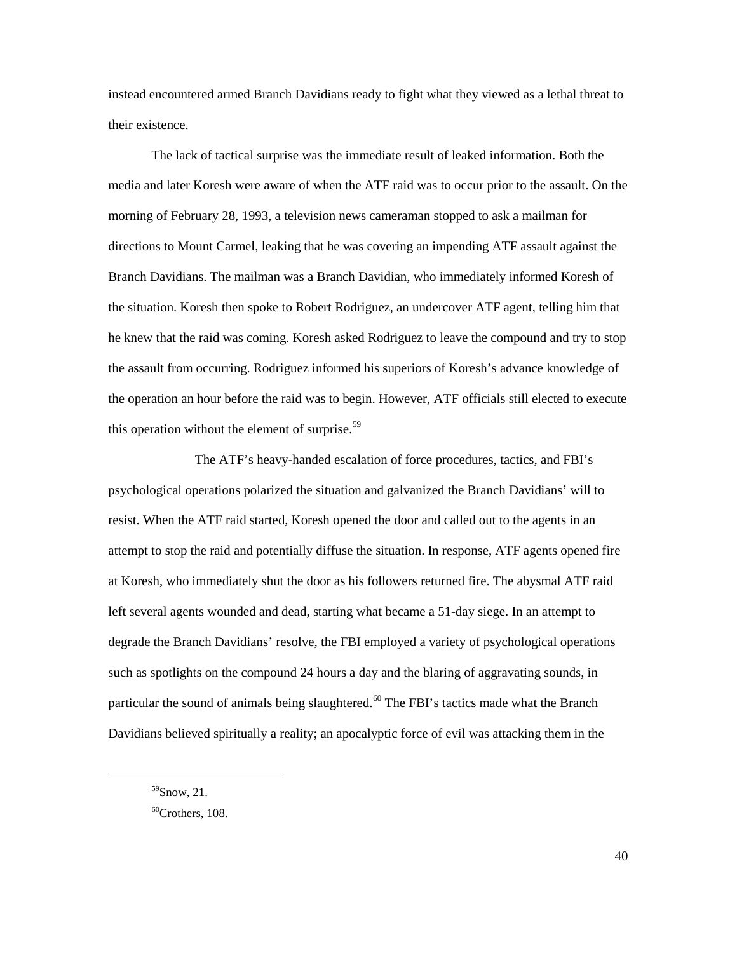instead encountered armed Branch Davidians ready to fight what they viewed as a lethal threat to their existence.

 morning of February 28, 1993, a television news cameraman stopped to ask a mailman for directions to Mount Carmel, leaking that he was covering an impending ATF assault against the the assault from occurring. Rodriguez informed his superiors of Koresh's advance knowledge of The lack of tactical surprise was the immediate result of leaked information. Both the media and later Koresh were aware of when the ATF raid was to occur prior to the assault. On the Branch Davidians. The mailman was a Branch Davidian, who immediately informed Koresh of the situation. Koresh then spoke to Robert Rodriguez, an undercover ATF agent, telling him that he knew that the raid was coming. Koresh asked Rodriguez to leave the compound and try to stop the operation an hour before the raid was to begin. However, ATF officials still elected to execute this operation without the element of surprise. $59$ 

 attempt to stop the raid and potentially diffuse the situation. In response, ATF agents opened fire particular the sound of animals being slaughtered.<sup>[60](#page-45-1)</sup> The FBI's tactics made what the Branch The ATF's heavy-handed escalation of force procedures, tactics, and FBI's psychological operations polarized the situation and galvanized the Branch Davidians' will to resist. When the ATF raid started, Koresh opened the door and called out to the agents in an at Koresh, who immediately shut the door as his followers returned fire. The abysmal ATF raid left several agents wounded and dead, starting what became a 51-day siege. In an attempt to degrade the Branch Davidians' resolve, the FBI employed a variety of psychological operations such as spotlights on the compound 24 hours a day and the blaring of aggravating sounds, in Davidians believed spiritually a reality; an apocalyptic force of evil was attacking them in the

<span id="page-45-0"></span> $59$ Snow, 21.

<span id="page-45-1"></span> $60$ Crothers, 108.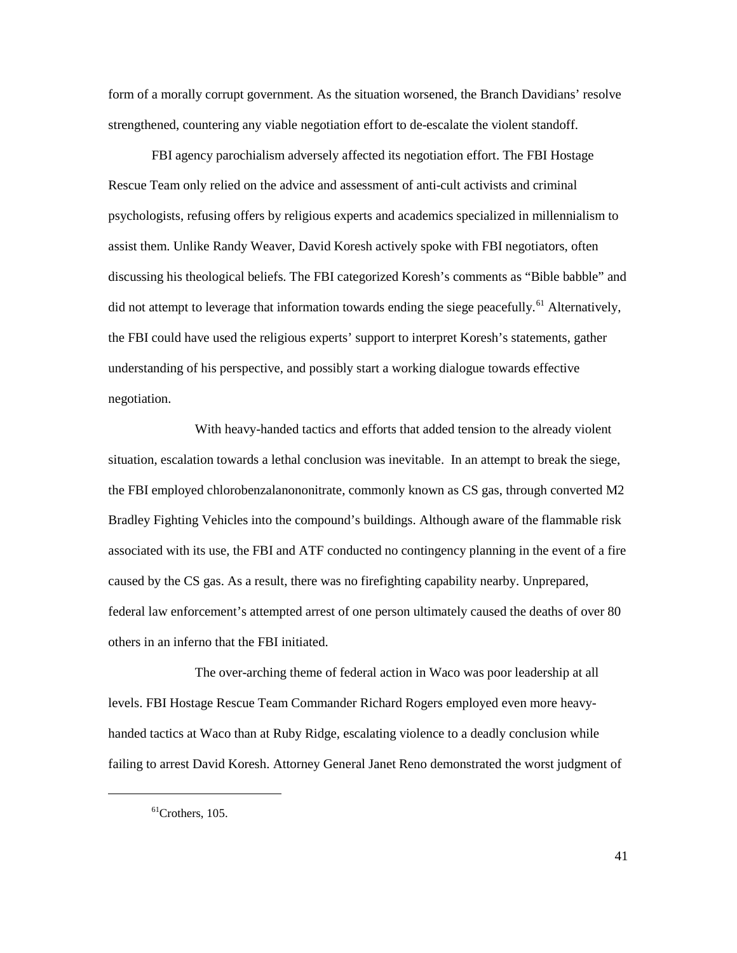form of a morally corrupt government. As the situation worsened, the Branch Davidians' resolve strengthened, countering any viable negotiation effort to de-escalate the violent standoff.

 the FBI could have used the religious experts' support to interpret Koresh's statements, gather FBI agency parochialism adversely affected its negotiation effort. The FBI Hostage Rescue Team only relied on the advice and assessment of anti-cult activists and criminal psychologists, refusing offers by religious experts and academics specialized in millennialism to assist them. Unlike Randy Weaver, David Koresh actively spoke with FBI negotiators, often discussing his theological beliefs. The FBI categorized Koresh's comments as "Bible babble" and did not attempt to leverage that information towards ending the siege peacefully.<sup>61</sup> Alternatively, understanding of his perspective, and possibly start a working dialogue towards effective negotiation.

 situation, escalation towards a lethal conclusion was inevitable. In an attempt to break the siege, Bradley Fighting Vehicles into the compound's buildings. Although aware of the flammable risk associated with its use, the FBI and ATF conducted no contingency planning in the event of a fire federal law enforcement's attempted arrest of one person ultimately caused the deaths of over 80 others in an inferno that the FBI initiated. With heavy-handed tactics and efforts that added tension to the already violent the FBI employed chlorobenzalanononitrate, commonly known as CS gas, through converted M2 caused by the CS gas. As a result, there was no firefighting capability nearby. Unprepared,

 The over-arching theme of federal action in Waco was poor leadership at all handed tactics at Waco than at Ruby Ridge, escalating violence to a deadly conclusion while failing to arrest David Koresh. Attorney General Janet Reno demonstrated the worst judgment of levels. FBI Hostage Rescue Team Commander Richard Rogers employed even more heavy-

<span id="page-46-0"></span> $\overline{a}$ 

 $61$ Crothers, 105.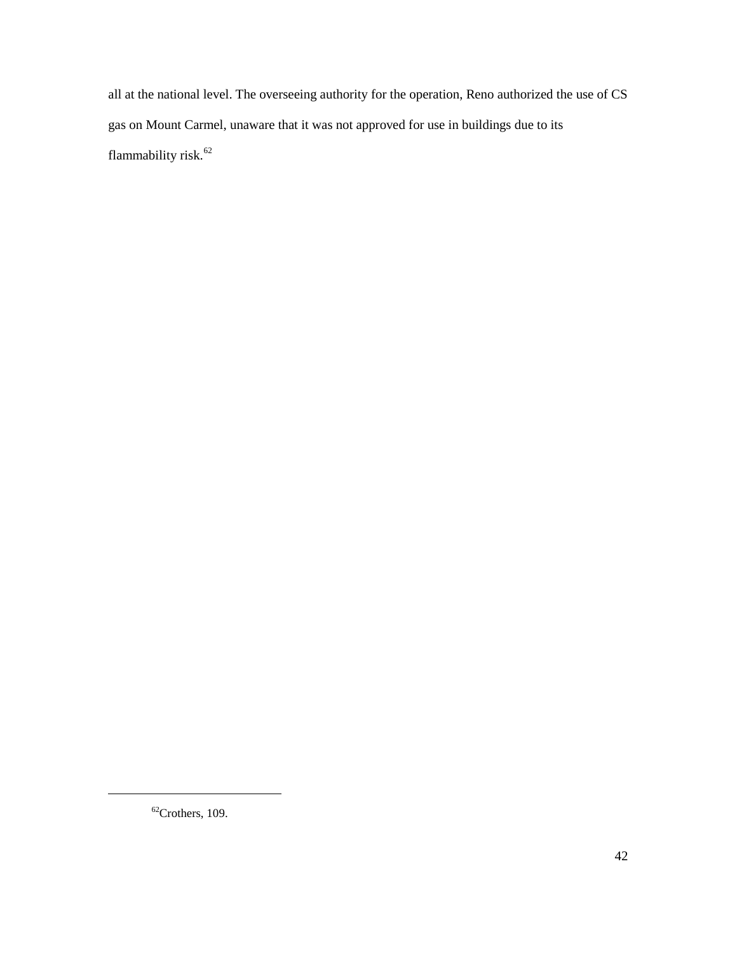all at the national level. The overseeing authority for the operation, Reno authorized the use of CS gas on Mount Carmel, unaware that it was not approved for use in buildings due to its flammability risk.<sup>[62](#page-47-0)</sup>

<span id="page-47-0"></span> $62$ Crothers, 109.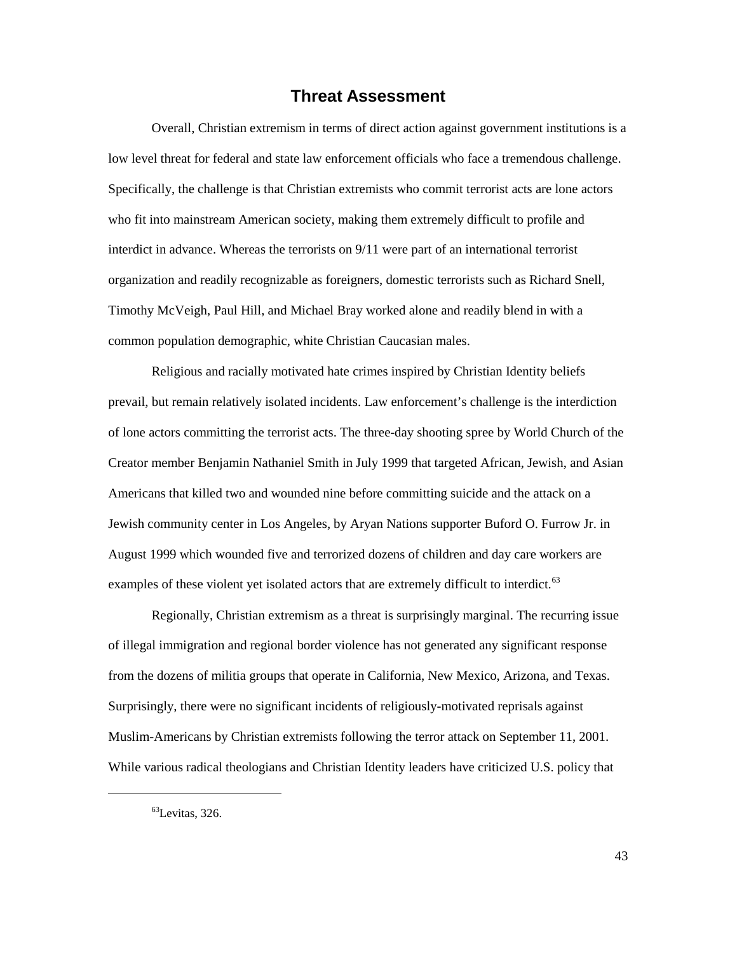#### **Threat Assessment**

<span id="page-48-0"></span> low level threat for federal and state law enforcement officials who face a tremendous challenge. interdict in advance. Whereas the terrorists on 9/11 were part of an international terrorist Overall, Christian extremism in terms of direct action against government institutions is a Specifically, the challenge is that Christian extremists who commit terrorist acts are lone actors who fit into mainstream American society, making them extremely difficult to profile and organization and readily recognizable as foreigners, domestic terrorists such as Richard Snell, Timothy McVeigh, Paul Hill, and Michael Bray worked alone and readily blend in with a common population demographic, white Christian Caucasian males.

 of lone actors committing the terrorist acts. The three-day shooting spree by World Church of the August 1999 which wounded five and terrorized dozens of children and day care workers are examples of these violent yet isolated actors that are extremely difficult to interdict.<sup>63</sup> Religious and racially motivated hate crimes inspired by Christian Identity beliefs prevail, but remain relatively isolated incidents. Law enforcement's challenge is the interdiction Creator member Benjamin Nathaniel Smith in July 1999 that targeted African, Jewish, and Asian Americans that killed two and wounded nine before committing suicide and the attack on a Jewish community center in Los Angeles, by Aryan Nations supporter Buford O. Furrow Jr. in

 from the dozens of militia groups that operate in California, New Mexico, Arizona, and Texas. Regionally, Christian extremism as a threat is surprisingly marginal. The recurring issue of illegal immigration and regional border violence has not generated any significant response Surprisingly, there were no significant incidents of religiously-motivated reprisals against Muslim-Americans by Christian extremists following the terror attack on September 11, 2001. While various radical theologians and Christian Identity leaders have criticized U.S. policy that

<span id="page-48-1"></span> $\overline{a}$ 

 $^{63}$ Levitas, 326.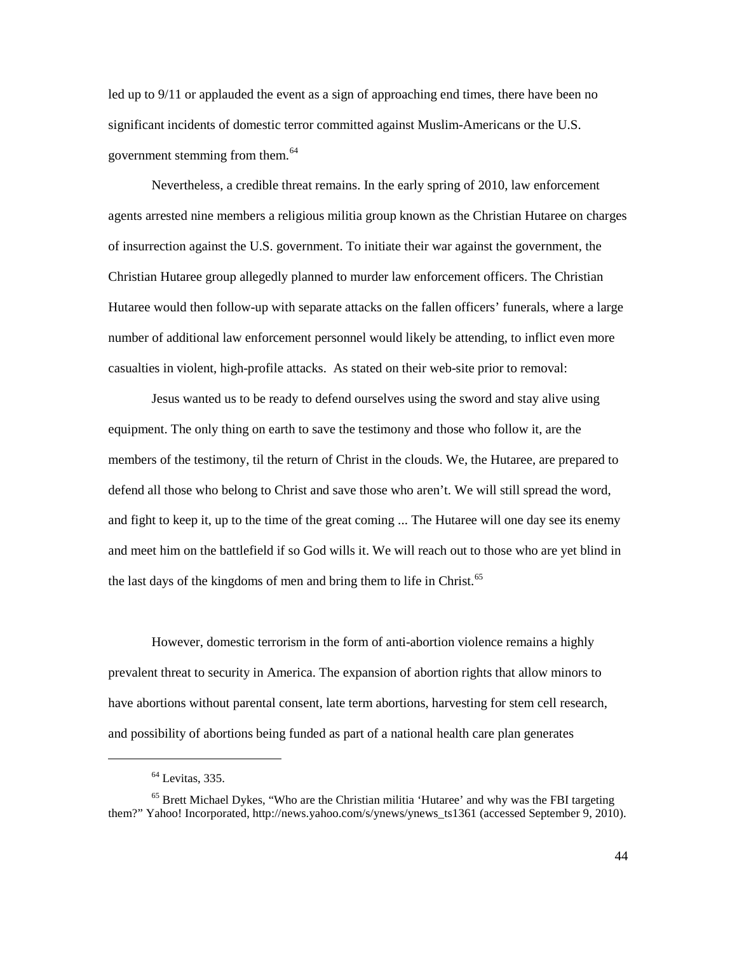significant incidents of domestic terror committed against Muslim-Americans or the U.S. government stemming from them.<sup>64</sup> led up to 9/11 or applauded the event as a sign of approaching end times, there have been no

 Nevertheless, a credible threat remains. In the early spring of 2010, law enforcement of insurrection against the U.S. government. To initiate their war against the government, the Hutaree would then follow-up with separate attacks on the fallen officers' funerals, where a large number of additional law enforcement personnel would likely be attending, to inflict even more agents arrested nine members a religious militia group known as the Christian Hutaree on charges Christian Hutaree group allegedly planned to murder law enforcement officers. The Christian casualties in violent, high-profile attacks. As stated on their web-site prior to removal:

 members of the testimony, til the return of Christ in the clouds. We, the Hutaree, are prepared to and meet him on the battlefield if so God wills it. We will reach out to those who are yet blind in Jesus wanted us to be ready to defend ourselves using the sword and stay alive using equipment. The only thing on earth to save the testimony and those who follow it, are the defend all those who belong to Christ and save those who aren't. We will still spread the word, and fight to keep it, up to the time of the great coming ... The Hutaree will one day see its enemy the last days of the kingdoms of men and bring them to life in Christ.<sup>[65](#page-49-1)</sup>

 prevalent threat to security in America. The expansion of abortion rights that allow minors to However, domestic terrorism in the form of anti-abortion violence remains a highly have abortions without parental consent, late term abortions, harvesting for stem cell research, and possibility of abortions being funded as part of a national health care plan generates

 $<sup>64</sup>$  Levitas, 335.</sup>

<span id="page-49-1"></span><span id="page-49-0"></span><sup>&</sup>lt;sup>65</sup> Brett Michael Dykes, "Who are the Christian militia 'Hutaree' and why was the FBI targeting them?" Yahoo! Incorporated, http://news.yahoo.com/s/ynews/ynews\_ts1361 (accessed September 9, 2010).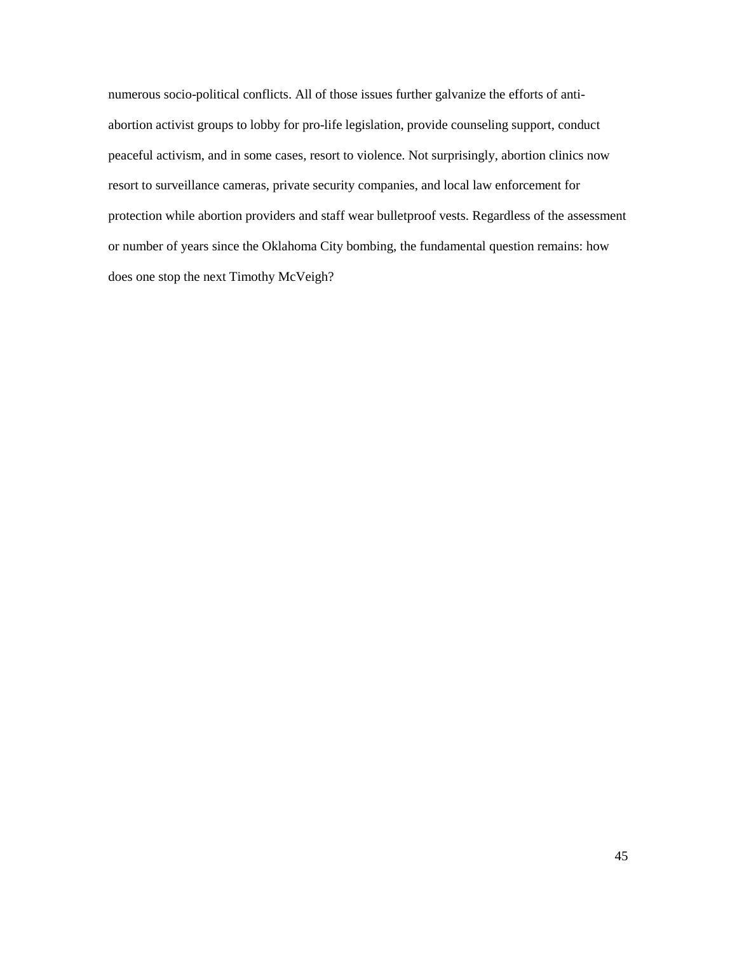numerous socio-political conflicts. All of those issues further galvanize the efforts of anti- or number of years since the Oklahoma City bombing, the fundamental question remains: how abortion activist groups to lobby for pro-life legislation, provide counseling support, conduct peaceful activism, and in some cases, resort to violence. Not surprisingly, abortion clinics now resort to surveillance cameras, private security companies, and local law enforcement for protection while abortion providers and staff wear bulletproof vests. Regardless of the assessment does one stop the next Timothy McVeigh?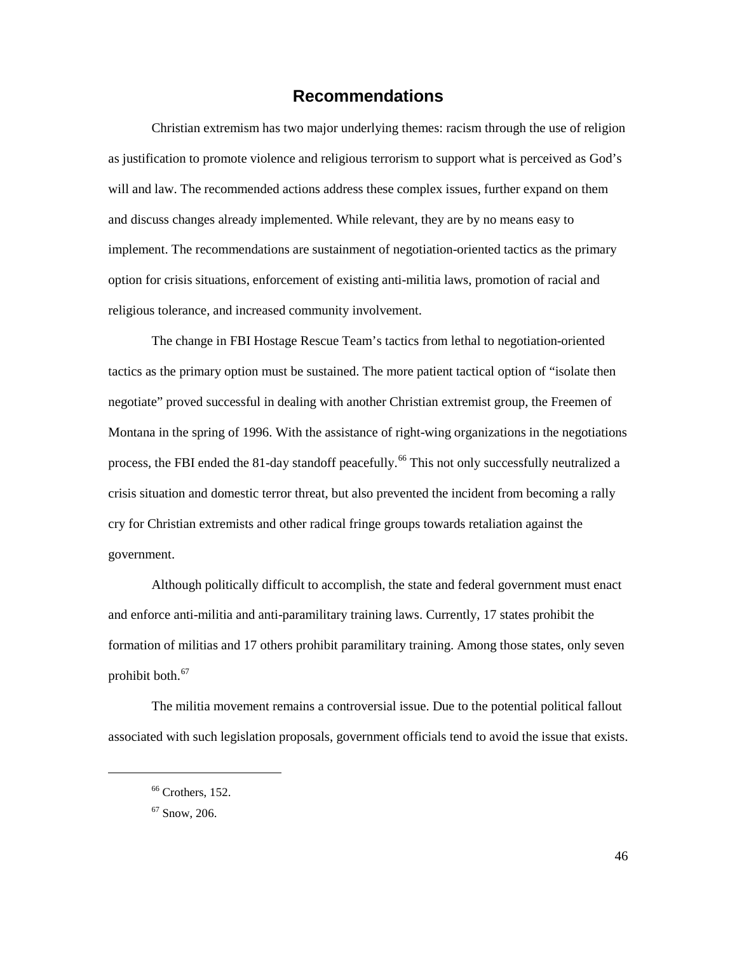### **Recommendations**

<span id="page-51-0"></span> as justification to promote violence and religious terrorism to support what is perceived as God's Christian extremism has two major underlying themes: racism through the use of religion will and law. The recommended actions address these complex issues, further expand on them and discuss changes already implemented. While relevant, they are by no means easy to implement. The recommendations are sustainment of negotiation-oriented tactics as the primary option for crisis situations, enforcement of existing anti-militia laws, promotion of racial and religious tolerance, and increased community involvement.

 crisis situation and domestic terror threat, but also prevented the incident from becoming a rally The change in FBI Hostage Rescue Team's tactics from lethal to negotiation-oriented tactics as the primary option must be sustained. The more patient tactical option of "isolate then negotiate" proved successful in dealing with another Christian extremist group, the Freemen of Montana in the spring of 1996. With the assistance of right-wing organizations in the negotiations process, the FBI ended the 81-day standoff peacefully.<sup>66</sup> This not only successfully neutralized a cry for Christian extremists and other radical fringe groups towards retaliation against the government.

prohibit both.<sup>67</sup> Although politically difficult to accomplish, the state and federal government must enact and enforce anti-militia and anti-paramilitary training laws. Currently, 17 states prohibit the formation of militias and 17 others prohibit paramilitary training. Among those states, only seven

<span id="page-51-2"></span><span id="page-51-1"></span> The militia movement remains a controversial issue. Due to the potential political fallout associated with such legislation proposals, government officials tend to avoid the issue that exists.

 $66$  Crothers, 152.

 $67$  Snow, 206.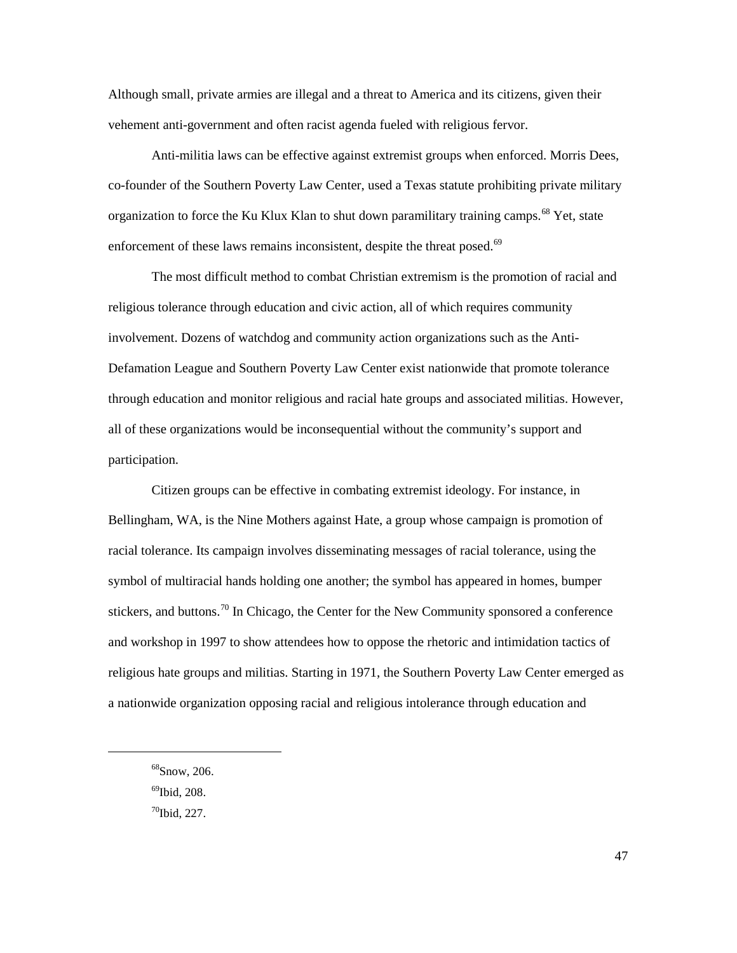Although small, private armies are illegal and a threat to America and its citizens, given their vehement anti-government and often racist agenda fueled with religious fervor.

enforcement of these laws remains inconsistent, despite the threat posed.<sup>[69](#page-52-1)</sup> Anti-militia laws can be effective against extremist groups when enforced. Morris Dees, co-founder of the Southern Poverty Law Center, used a Texas statute prohibiting private military organization to force the Ku Klux Klan to shut down paramilitary training camps.<sup>[68](#page-52-0)</sup> Yet, state

 Defamation League and Southern Poverty Law Center exist nationwide that promote tolerance all of these organizations would be inconsequential without the community's support and The most difficult method to combat Christian extremism is the promotion of racial and religious tolerance through education and civic action, all of which requires community involvement. Dozens of watchdog and community action organizations such as the Antithrough education and monitor religious and racial hate groups and associated militias. However, participation.

 racial tolerance. Its campaign involves disseminating messages of racial tolerance, using the and workshop in 1997 to show attendees how to oppose the rhetoric and intimidation tactics of Citizen groups can be effective in combating extremist ideology. For instance, in Bellingham, WA, is the Nine Mothers against Hate, a group whose campaign is promotion of symbol of multiracial hands holding one another; the symbol has appeared in homes, bumper stickers, and buttons.<sup>[70](#page-52-2)</sup> In Chicago, the Center for the New Community sponsored a conference religious hate groups and militias. Starting in 1971, the Southern Poverty Law Center emerged as a nationwide organization opposing racial and religious intolerance through education and

69Ibid, 208.

<span id="page-52-2"></span><span id="page-52-1"></span><span id="page-52-0"></span> $\overline{a}$ 

 $70$ Ibid, 227.

 $68$ Snow, 206.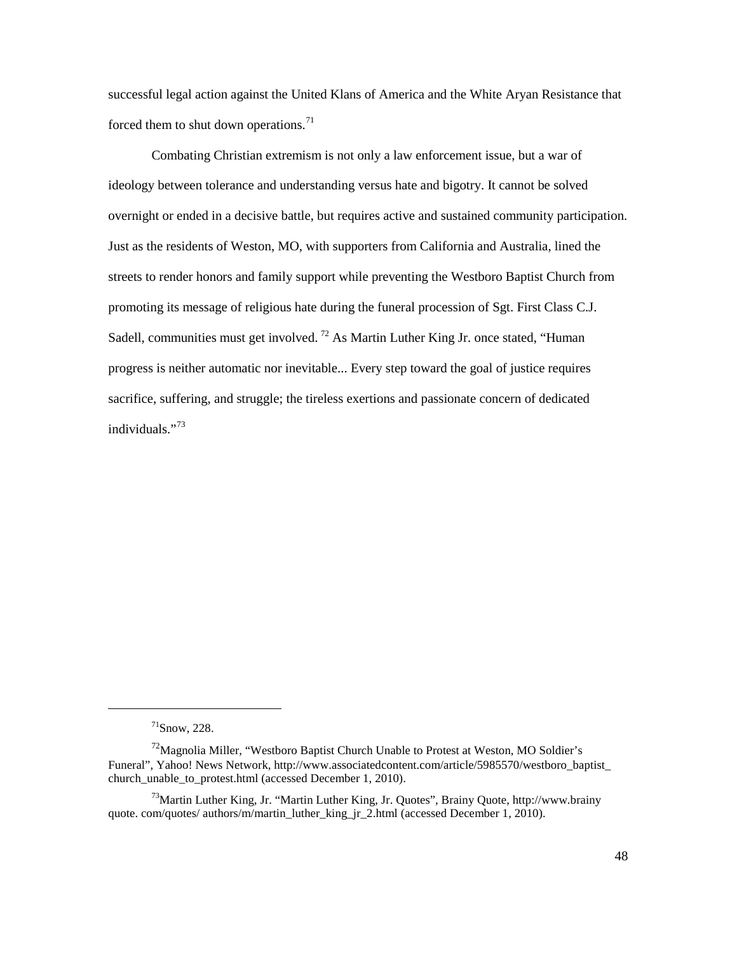forced them to shut down operations. $71$ successful legal action against the United Klans of America and the White Aryan Resistance that

 ideology between tolerance and understanding versus hate and bigotry. It cannot be solved overnight or ended in a decisive battle, but requires active and sustained community participation. Just as the residents of Weston, MO, with supporters from California and [Australia,](http://www.associatedcontent.com/theme/1531/australia.html) lined the promoting its message of religious hate during the funeral procession of [Sgt. First Class C.J.](http://www.foxnews.com/us/2010/11/07/residents-missouri-town-block-protesters-picketing-soldiers-funeral/?test=latestnews)  Combating Christian extremism is not only a law enforcement issue, but a war of streets to render honors and family support while preventing th[e Westboro Baptist Church](http://www.foxnews.com/us/2010/11/07/residents-missouri-town-block-protesters-picketing-soldiers-funeral/?test=latestnews) from [Sadell,](http://www.foxnews.com/us/2010/11/07/residents-missouri-town-block-protesters-picketing-soldiers-funeral/?test=latestnews) communities must get involved.<sup>72</sup> As Martin Luther King Jr. once stated, "Human progress is neither automatic nor inevitable... Every step toward the goal of justice requires sacrifice, suffering, and struggle; the tireless exertions and passionate concern of dedicated individuals."[73](#page-53-2) 

 $^{71}$ Snow, 228.

<span id="page-53-1"></span><span id="page-53-0"></span> $^{72}$ Magnolia Miller, "Westboro Baptist Church Unable to Protest at Weston, MO Soldier's Funeral", Yahoo! News Network, http://www.associatedcontent.com/article/5985570/westboro\_baptist\_ church\_unable\_to\_protest.html (accessed December 1, 2010).

<span id="page-53-2"></span> $^{73}$ Martin Luther King, Jr. "Martin Luther King, Jr. Quotes", Brainy Quote, http://www.brainy quote. com/quotes/ authors/m/martin\_luther\_king\_jr\_2.html (accessed December 1, 2010).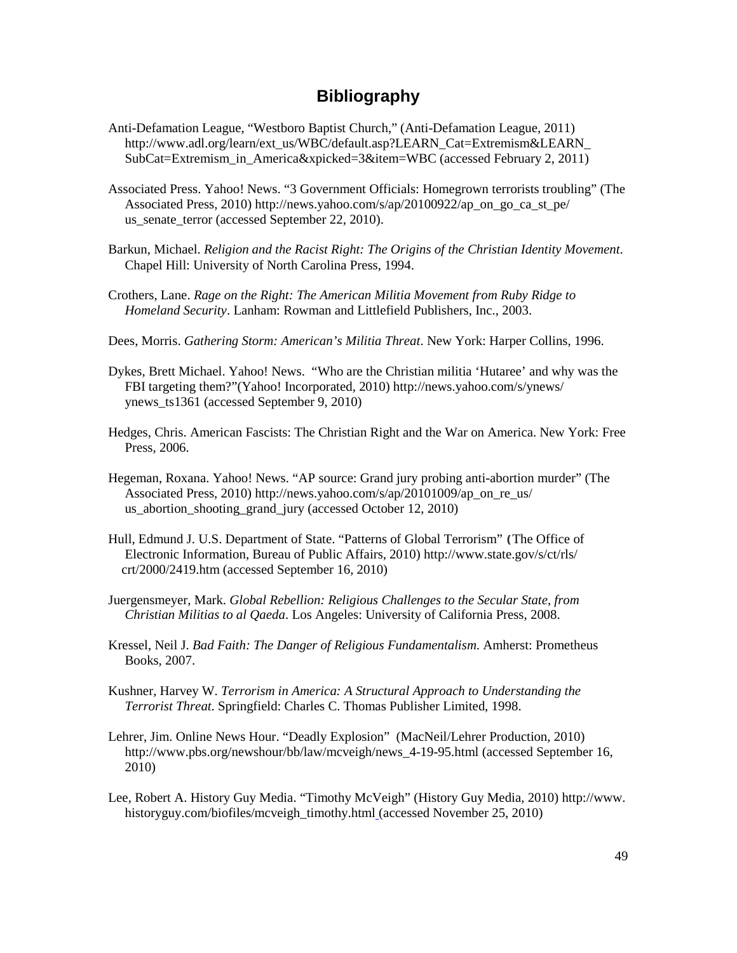### **Bibliography**

- <span id="page-54-0"></span>Anti-Defamation League, "Westboro Baptist Church," (Anti-Defamation League, 2011) http://www.adl.org/learn/ext\_us/WBC/default.asp?LEARN\_Cat=Extremism&LEARN\_ SubCat=Extremism\_in\_America&xpicked=3&item=WBC (accessed February 2, 2011)
- Associated Press. Yahoo! News. "3 Government Officials: Homegrown terrorists troubling" (The Associated Press, 2010) http://news.yahoo.com/s/ap/20100922/ap\_on\_go\_ca\_st\_pe/ us\_senate\_terror (accessed September 22, 2010).
- Barkun, Michael. *Religion and the Racist Right: The Origins of the Christian Identity Movement*. Chapel Hill: University of North Carolina Press, 1994.
- Crothers, Lane. *Rage on the Right: The American Militia Movement from Ruby Ridge to Homeland Security*. Lanham: Rowman and Littlefield Publishers, Inc., 2003.
- Dees, Morris. *Gathering Storm: American's Militia Threat*. New York: Harper Collins, 1996.
- Dykes, Brett Michael. Yahoo! News. "Who are the Christian militia 'Hutaree' and why was the FBI targeting them?"(Yahoo! Incorporated, 2010) http://news.yahoo.com/s/ynews/ ynews\_ts1361 (accessed September 9, 2010)
- Hedges, Chris. American Fascists: The Christian Right and the War on America. New York: Free Press, 2006.
- Hegeman, Roxana. Yahoo! News. "AP source: Grand jury probing anti-abortion murder" (The Associated Press, 2010) http://news.yahoo.com/s/ap/20101009/ap\_on\_re\_us/ us\_abortion\_shooting\_grand\_jury (accessed October 12, 2010)
- Hull, Edmund J. U.S. Department of State. "Patterns of Global Terrorism" **(**The Office of Electronic Information, Bureau of Public Affairs, 2010) http://www.state.gov/s/ct/rls/ crt/2000/2419.htm (accessed September 16, 2010)
- Juergensmeyer, Mark. *Global Rebellion: Religious Challenges to the Secular State, from Christian Militias to al Qaeda*. Los Angeles: University of California Press, 2008.
- Kressel, Neil J. *Bad Faith: The Danger of Religious Fundamentalism*. Amherst: Prometheus Books, 2007.
- Kushner, Harvey W. *Terrorism in America: A Structural Approach to Understanding the Terrorist Threat*. Springfield: Charles C. Thomas Publisher Limited, 1998.
- Lehrer, Jim. Online News Hour. "Deadly Explosion" (MacNeil/Lehrer Production, 2010) http://www.pbs.org/newshour/bb/law/mcveigh/news\_4-19-95.html (accessed September 16, 2010)
- Lee, Robert A. History Guy Media. "Timothy McVeigh" (History Guy Media, 2010) http://www. historyguy.com/biofiles/mcveigh\_timothy.html (accessed November 25, 2010)